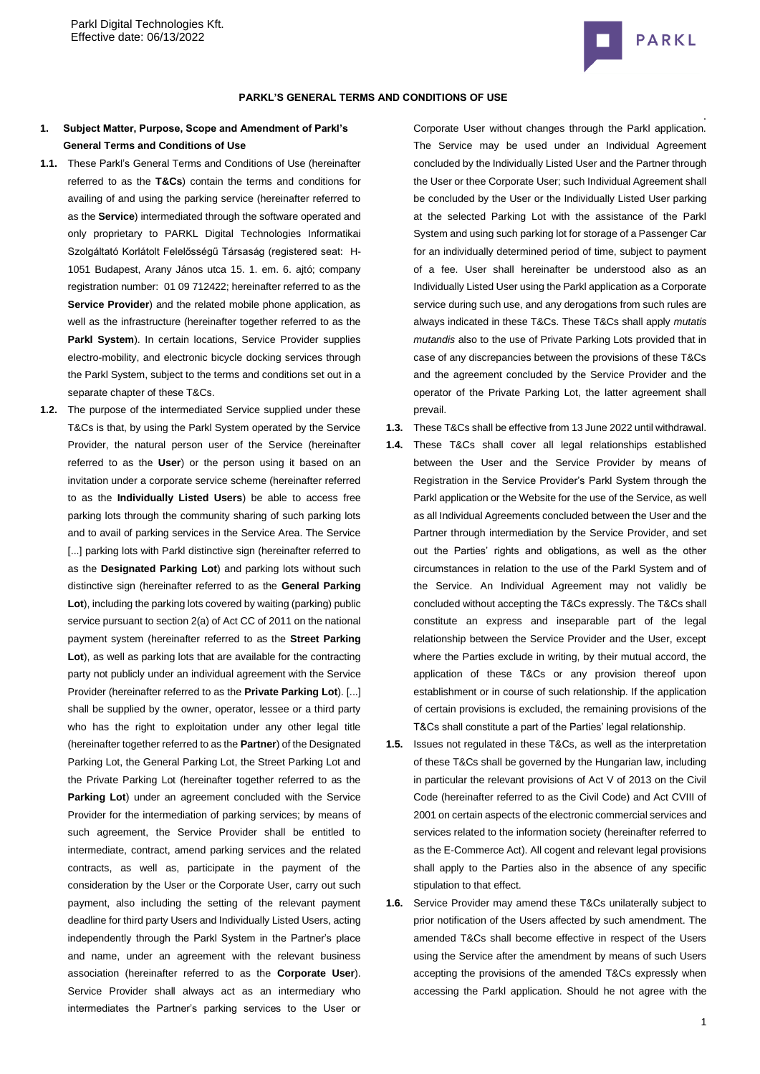

### **PARKL'S GENERAL TERMS AND CONDITIONS OF USE**

# **1. Subject Matter, Purpose, Scope and Amendment of Parkl's General Terms and Conditions of Use**

- **1.1.** These Parkl's General Terms and Conditions of Use (hereinafter referred to as the **T&Cs**) contain the terms and conditions for availing of and using the parking service (hereinafter referred to as the **Service**) intermediated through the software operated and only proprietary to PARKL Digital Technologies Informatikai Szolgáltató Korlátolt Felelősségű Társaság (registered seat: [H-](http://maps.google.com/maps?q=HU%201051%20Budapest%20Arany%20J%C3%A1nos%20utca%2015.%201.%20em.%206&hl=hu&ie=UTF8)[1051 Budapest, Arany János utca 15. 1. em. 6.](http://maps.google.com/maps?q=HU%201051%20Budapest%20Arany%20J%C3%A1nos%20utca%2015.%201.%20em.%206&hl=hu&ie=UTF8) ajtó; company registration number: 01 09 712422; hereinafter referred to as the **Service Provider**) and the related mobile phone application, as well as the infrastructure (hereinafter together referred to as the Parkl System). In certain locations, Service Provider supplies electro-mobility, and electronic bicycle docking services through the Parkl System, subject to the terms and conditions set out in a separate chapter of these T&Cs.
- **1.2.** The purpose of the intermediated Service supplied under these T&Cs is that, by using the Parkl System operated by the Service Provider, the natural person user of the Service (hereinafter referred to as the **User**) or the person using it based on an invitation under a corporate service scheme (hereinafter referred to as the **Individually Listed Users**) be able to access free parking lots through the community sharing of such parking lots and to avail of parking services in the Service Area. The Service [...] parking lots with Parkl distinctive sign (hereinafter referred to as the **Designated Parking Lot**) and parking lots without such distinctive sign (hereinafter referred to as the **General Parking Lot**), including the parking lots covered by waiting (parking) public service pursuant to section 2(a) of Act CC of 2011 on the national payment system (hereinafter referred to as the **Street Parking Lot**), as well as parking lots that are available for the contracting party not publicly under an individual agreement with the Service Provider (hereinafter referred to as the **Private Parking Lot**). [...] shall be supplied by the owner, operator, lessee or a third party who has the right to exploitation under any other legal title (hereinafter together referred to as the **Partner**) of the Designated Parking Lot, the General Parking Lot, the Street Parking Lot and the Private Parking Lot (hereinafter together referred to as the **Parking Lot**) under an agreement concluded with the Service Provider for the intermediation of parking services; by means of such agreement, the Service Provider shall be entitled to intermediate, contract, amend parking services and the related contracts, as well as, participate in the payment of the consideration by the User or the Corporate User, carry out such payment, also including the setting of the relevant payment deadline for third party Users and Individually Listed Users, acting independently through the Parkl System in the Partner's place and name, under an agreement with the relevant business association (hereinafter referred to as the **Corporate User**). Service Provider shall always act as an intermediary who intermediates the Partner's parking services to the User or

Corporate User without changes through the Parkl application. The Service may be used under an Individual Agreement concluded by the Individually Listed User and the Partner through the User or thee Corporate User; such Individual Agreement shall be concluded by the User or the Individually Listed User parking at the selected Parking Lot with the assistance of the Parkl System and using such parking lot for storage of a Passenger Car for an individually determined period of time, subject to payment of a fee. User shall hereinafter be understood also as an Individually Listed User using the Parkl application as a Corporate service during such use, and any derogations from such rules are always indicated in these T&Cs. These T&Cs shall apply *mutatis mutandis* also to the use of Private Parking Lots provided that in case of any discrepancies between the provisions of these T&Cs and the agreement concluded by the Service Provider and the operator of the Private Parking Lot, the latter agreement shall prevail.

- **1.3.** These T&Cs shall be effective from 13 June 2022 until withdrawal.
- **1.4.** These T&Cs shall cover all legal relationships established between the User and the Service Provider by means of Registration in the Service Provider's Parkl System through the Parkl application or the Website for the use of the Service, as well as all Individual Agreements concluded between the User and the Partner through intermediation by the Service Provider, and set out the Parties' rights and obligations, as well as the other circumstances in relation to the use of the Parkl System and of the Service. An Individual Agreement may not validly be concluded without accepting the T&Cs expressly. The T&Cs shall constitute an express and inseparable part of the legal relationship between the Service Provider and the User, except where the Parties exclude in writing, by their mutual accord, the application of these T&Cs or any provision thereof upon establishment or in course of such relationship. If the application of certain provisions is excluded, the remaining provisions of the T&Cs shall constitute a part of the Parties' legal relationship.
- **1.5.** Issues not regulated in these T&Cs, as well as the interpretation of these T&Cs shall be governed by the Hungarian law, including in particular the relevant provisions of Act V of 2013 on the Civil Code (hereinafter referred to as the Civil Code) and Act CVIII of 2001 on certain aspects of the electronic commercial services and services related to the information society (hereinafter referred to as the E-Commerce Act). All cogent and relevant legal provisions shall apply to the Parties also in the absence of any specific stipulation to that effect.
- **1.6.** Service Provider may amend these T&Cs unilaterally subject to prior notification of the Users affected by such amendment. The amended T&Cs shall become effective in respect of the Users using the Service after the amendment by means of such Users accepting the provisions of the amended T&Cs expressly when accessing the Parkl application. Should he not agree with the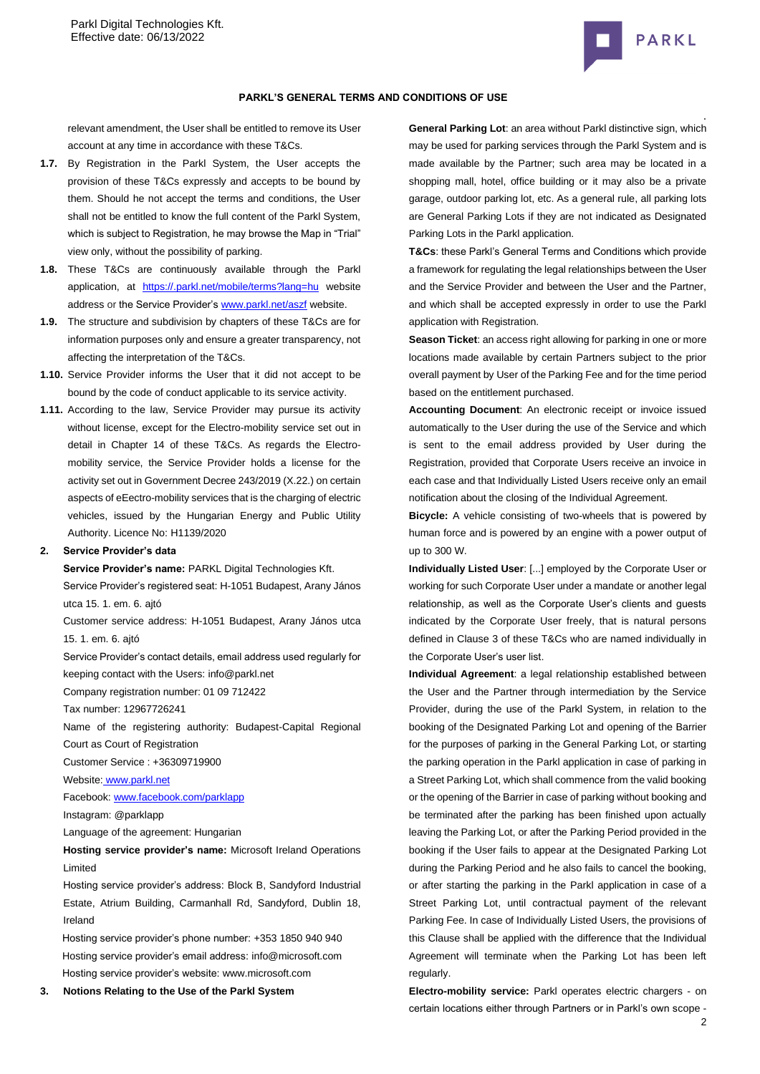

### **PARKL'S GENERAL TERMS AND CONDITIONS OF USE**

relevant amendment, the User shall be entitled to remove its User account at any time in accordance with these T&Cs.

- **1.7.** By Registration in the Parkl System, the User accepts the provision of these T&Cs expressly and accepts to be bound by them. Should he not accept the terms and conditions, the User shall not be entitled to know the full content of the Parkl System, which is subject to Registration, he may browse the Map in "Trial" view only, without the possibility of parking.
- **1.8.** These T&Cs are continuously available through the Parkl application, at [https://.parkl.net/mobile/terms?lang=hu](https://parkl.net/mobile/terms?lang=hu) website address or the Service Provider'[s www.parkl.net/aszf](http://www.parkl.net/aszf) website.
- **1.9.** The structure and subdivision by chapters of these T&Cs are for information purposes only and ensure a greater transparency, not affecting the interpretation of the T&Cs.
- **1.10.** Service Provider informs the User that it did not accept to be bound by the code of conduct applicable to its service activity.
- **1.11.** According to the law, Service Provider may pursue its activity without license, except for the Electro-mobility service set out in detail in Chapter 14 of these T&Cs. As regards the Electromobility service, the Service Provider holds a license for the activity set out in Government Decree 243/2019 (X.22.) on certain aspects of eEectro-mobility services that is the charging of electric vehicles, issued by the Hungarian Energy and Public Utility Authority. Licence No: H1139/2020

### **2. Service Provider's data**

**Service Provider's name:** PARKL Digital Technologies Kft.

Service Provider's registered seat[: H-1051 Budapest, Arany János](http://maps.google.com/maps?q=HU%201051%20Budapest%20Arany%20J%C3%A1nos%20utca%2015.%201.%20em.%206&hl=hu&ie=UTF8)  [utca 15. 1. em. 6.](http://maps.google.com/maps?q=HU%201051%20Budapest%20Arany%20J%C3%A1nos%20utca%2015.%201.%20em.%206&hl=hu&ie=UTF8) ajtó

Customer service address: [H-1051 Budapest, Arany János utca](http://maps.google.com/maps?q=HU%201051%20Budapest%20Arany%20J%C3%A1nos%20utca%2015.%201.%20em.%206&hl=hu&ie=UTF8)  [15. 1. em. 6.](http://maps.google.com/maps?q=HU%201051%20Budapest%20Arany%20J%C3%A1nos%20utca%2015.%201.%20em.%206&hl=hu&ie=UTF8) ajtó

Service Provider's contact details, email address used regularly for keeping contact with the Users: info@parkl.net

Company registration number: 01 09 712422

Tax number: 12967726241

Name of the registering authority: Budapest-Capital Regional Court as Court of Registration

Customer Service : +36309719900

Website: [www.parkl.net](http://www.parkl.net/)

Facebook: [www.facebook.com/parklapp](http://www.facebook.com/parklapp)

Instagram: @parklapp

Language of the agreement: Hungarian

**Hosting service provider's name:** Microsoft Ireland Operations Limited

Hosting service provider's address: Block B, Sandyford Industrial Estate, Atrium Building, Carmanhall Rd, Sandyford, Dublin 18, Ireland

Hosting service provider's phone number[: +353 1850 940](tel:+353%201850%20940%20940) 940 Hosting service provider's email address: [info@microsoft.com](mailto:info@microsoft.com) Hosting service provider's website[: www.microsoft.com](http://www.microsoft.com/)

**3. Notions Relating to the Use of the Parkl System**

**General Parking Lot**: an area without Parkl distinctive sign, which may be used for parking services through the Parkl System and is made available by the Partner; such area may be located in a shopping mall, hotel, office building or it may also be a private garage, outdoor parking lot, etc. As a general rule, all parking lots are General Parking Lots if they are not indicated as Designated Parking Lots in the Parkl application.

**T&Cs**: these Parkl's General Terms and Conditions which provide a framework for regulating the legal relationships between the User and the Service Provider and between the User and the Partner, and which shall be accepted expressly in order to use the Parkl application with Registration.

**Season Ticket**: an access right allowing for parking in one or more locations made available by certain Partners subject to the prior overall payment by User of the Parking Fee and for the time period based on the entitlement purchased.

**Accounting Document**: An electronic receipt or invoice issued automatically to the User during the use of the Service and which is sent to the email address provided by User during the Registration, provided that Corporate Users receive an invoice in each case and that Individually Listed Users receive only an email notification about the closing of the Individual Agreement.

**Bicycle:** A vehicle consisting of two-wheels that is powered by human force and is powered by an engine with a power output of up to 300 W.

**Individually Listed User**: [...] employed by the Corporate User or working for such Corporate User under a mandate or another legal relationship, as well as the Corporate User's clients and guests indicated by the Corporate User freely, that is natural persons defined in Clause 3 of these T&Cs who are named individually in the Corporate User's user list.

**Individual Agreement**: a legal relationship established between the User and the Partner through intermediation by the Service Provider, during the use of the Parkl System, in relation to the booking of the Designated Parking Lot and opening of the Barrier for the purposes of parking in the General Parking Lot, or starting the parking operation in the Parkl application in case of parking in a Street Parking Lot, which shall commence from the valid booking or the opening of the Barrier in case of parking without booking and be terminated after the parking has been finished upon actually leaving the Parking Lot, or after the Parking Period provided in the booking if the User fails to appear at the Designated Parking Lot during the Parking Period and he also fails to cancel the booking, or after starting the parking in the Parkl application in case of a Street Parking Lot, until contractual payment of the relevant Parking Fee. In case of Individually Listed Users, the provisions of this Clause shall be applied with the difference that the Individual Agreement will terminate when the Parking Lot has been left regularly.

**Electro-mobility service:** Parkl operates electric chargers - on certain locations either through Partners or in Parkl's own scope -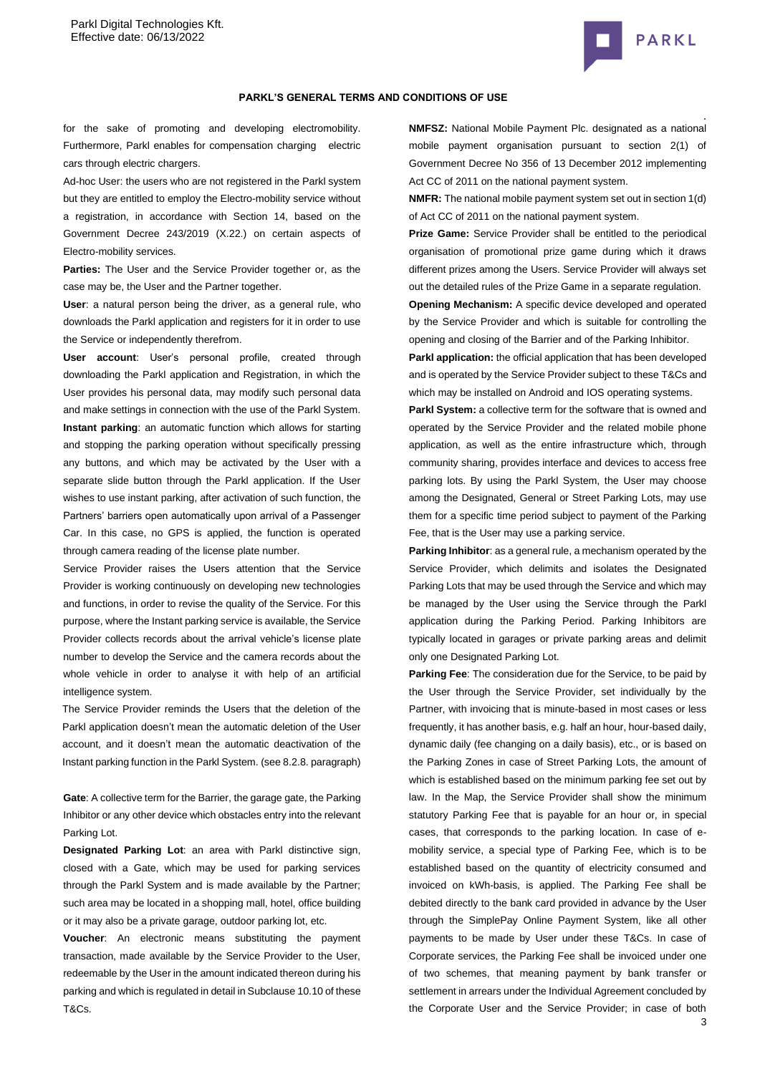

#### **PARKL'S GENERAL TERMS AND CONDITIONS OF USE**

for the sake of promoting and developing electromobility. Furthermore, Parkl enables for compensation charging electric cars through electric chargers.

Ad-hoc User: the users who are not registered in the Parkl system but they are entitled to employ the Electro-mobility service without a registration, in accordance with Section 14, based on the Government Decree 243/2019 (X.22.) on certain aspects of Electro-mobility services.

**Parties:** The User and the Service Provider together or, as the case may be, the User and the Partner together.

**User**: a natural person being the driver, as a general rule, who downloads the Parkl application and registers for it in order to use the Service or independently therefrom.

**User account**: User's personal profile, created through downloading the Parkl application and Registration, in which the User provides his personal data, may modify such personal data and make settings in connection with the use of the Parkl System. **Instant parking**: an automatic function which allows for starting and stopping the parking operation without specifically pressing any buttons, and which may be activated by the User with a separate slide button through the Parkl application. If the User wishes to use instant parking, after activation of such function, the Partners' barriers open automatically upon arrival of a Passenger Car. In this case, no GPS is applied, the function is operated through camera reading of the license plate number.

Service Provider raises the Users attention that the Service Provider is working continuously on developing new technologies and functions, in order to revise the quality of the Service. For this purpose, where the Instant parking service is available, the Service Provider collects records about the arrival vehicle's license plate number to develop the Service and the camera records about the whole vehicle in order to analyse it with help of an artificial intelligence system.

The Service Provider reminds the Users that the deletion of the Parkl application doesn't mean the automatic deletion of the User account, and it doesn't mean the automatic deactivation of the Instant parking function in the Parkl System. (see 8.2.8. paragraph)

**Gate**: A collective term for the Barrier, the garage gate, the Parking Inhibitor or any other device which obstacles entry into the relevant Parking Lot.

**Designated Parking Lot**: an area with Parkl distinctive sign, closed with a Gate, which may be used for parking services through the Parkl System and is made available by the Partner; such area may be located in a shopping mall, hotel, office building or it may also be a private garage, outdoor parking lot, etc.

**Voucher**: An electronic means substituting the payment transaction, made available by the Service Provider to the User, redeemable by the User in the amount indicated thereon during his parking and which is regulated in detail in Subclause 10.10 of these T&Cs.

**NMFSZ:** National Mobile Payment Plc. designated as a national mobile payment organisation pursuant to section 2(1) of Government Decree No 356 of 13 December 2012 implementing Act CC of 2011 on the national payment system.

**NMFR:** The national mobile payment system set out in section 1(d) of Act CC of 2011 on the national payment system.

**Prize Game:** Service Provider shall be entitled to the periodical organisation of promotional prize game during which it draws different prizes among the Users. Service Provider will always set out the detailed rules of the Prize Game in a separate regulation.

**Opening Mechanism:** A specific device developed and operated by the Service Provider and which is suitable for controlling the opening and closing of the Barrier and of the Parking Inhibitor.

**Parkl application:** the official application that has been developed and is operated by the Service Provider subject to these T&Cs and which may be installed on Android and IOS operating systems.

Parkl System: a collective term for the software that is owned and operated by the Service Provider and the related mobile phone application, as well as the entire infrastructure which, through community sharing, provides interface and devices to access free parking lots. By using the Parkl System, the User may choose among the Designated, General or Street Parking Lots, may use them for a specific time period subject to payment of the Parking Fee, that is the User may use a parking service.

**Parking Inhibitor**: as a general rule, a mechanism operated by the Service Provider, which delimits and isolates the Designated Parking Lots that may be used through the Service and which may be managed by the User using the Service through the Parkl application during the Parking Period. Parking Inhibitors are typically located in garages or private parking areas and delimit only one Designated Parking Lot.

**Parking Fee**: The consideration due for the Service, to be paid by the User through the Service Provider, set individually by the Partner, with invoicing that is minute-based in most cases or less frequently, it has another basis, e.g. half an hour, hour-based daily, dynamic daily (fee changing on a daily basis), etc., or is based on the Parking Zones in case of Street Parking Lots, the amount of which is established based on the minimum parking fee set out by law. In the Map, the Service Provider shall show the minimum statutory Parking Fee that is payable for an hour or, in special cases, that corresponds to the parking location. In case of emobility service, a special type of Parking Fee, which is to be established based on the quantity of electricity consumed and invoiced on kWh-basis, is applied. The Parking Fee shall be debited directly to the bank card provided in advance by the User through the SimplePay Online Payment System, like all other payments to be made by User under these T&Cs. In case of Corporate services, the Parking Fee shall be invoiced under one of two schemes, that meaning payment by bank transfer or settlement in arrears under the Individual Agreement concluded by the Corporate User and the Service Provider; in case of both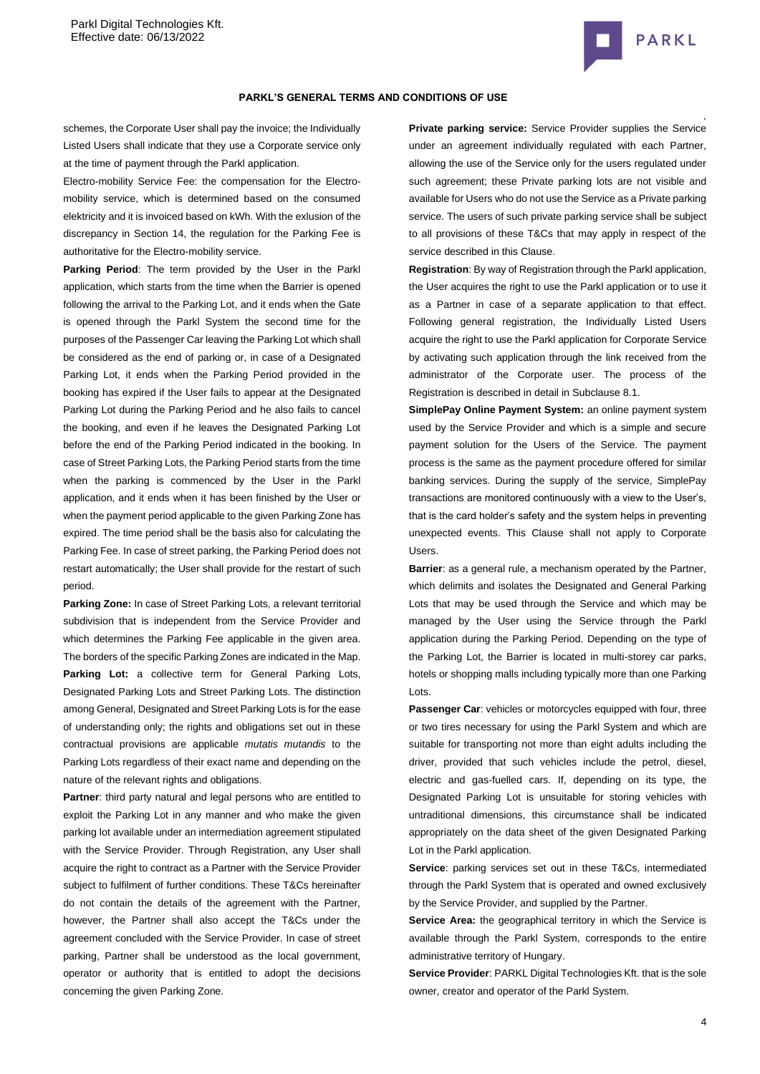

### **PARKL'S GENERAL TERMS AND CONDITIONS OF USE**

schemes, the Corporate User shall pay the invoice; the Individually Listed Users shall indicate that they use a Corporate service only at the time of payment through the Parkl application.

Electro-mobility Service Fee: the compensation for the Electromobility service, which is determined based on the consumed elektricity and it is invoiced based on kWh. With the exlusion of the discrepancy in Section 14, the regulation for the Parking Fee is authoritative for the Electro-mobility service.

**Parking Period**: The term provided by the User in the Parkl application, which starts from the time when the Barrier is opened following the arrival to the Parking Lot, and it ends when the Gate is opened through the Parkl System the second time for the purposes of the Passenger Car leaving the Parking Lot which shall be considered as the end of parking or, in case of a Designated Parking Lot, it ends when the Parking Period provided in the booking has expired if the User fails to appear at the Designated Parking Lot during the Parking Period and he also fails to cancel the booking, and even if he leaves the Designated Parking Lot before the end of the Parking Period indicated in the booking. In case of Street Parking Lots, the Parking Period starts from the time when the parking is commenced by the User in the Parkl application, and it ends when it has been finished by the User or when the payment period applicable to the given Parking Zone has expired. The time period shall be the basis also for calculating the Parking Fee. In case of street parking, the Parking Period does not restart automatically; the User shall provide for the restart of such period.

**Parking Zone:** In case of Street Parking Lots, a relevant territorial subdivision that is independent from the Service Provider and which determines the Parking Fee applicable in the given area. The borders of the specific Parking Zones are indicated in the Map. Parking Lot: a collective term for General Parking Lots, Designated Parking Lots and Street Parking Lots. The distinction among General, Designated and Street Parking Lots is for the ease of understanding only; the rights and obligations set out in these contractual provisions are applicable *mutatis mutandis* to the Parking Lots regardless of their exact name and depending on the nature of the relevant rights and obligations.

Partner: third party natural and legal persons who are entitled to exploit the Parking Lot in any manner and who make the given parking lot available under an intermediation agreement stipulated with the Service Provider. Through Registration, any User shall acquire the right to contract as a Partner with the Service Provider subject to fulfilment of further conditions. These T&Cs hereinafter do not contain the details of the agreement with the Partner, however, the Partner shall also accept the T&Cs under the agreement concluded with the Service Provider. In case of street parking, Partner shall be understood as the local government, operator or authority that is entitled to adopt the decisions concerning the given Parking Zone.

**Private parking service:** Service Provider supplies the Service under an agreement individually regulated with each Partner, allowing the use of the Service only for the users regulated under such agreement; these Private parking lots are not visible and available for Users who do not use the Service as a Private parking service. The users of such private parking service shall be subject to all provisions of these T&Cs that may apply in respect of the service described in this Clause.

**Registration**: By way of Registration through the Parkl application, the User acquires the right to use the Parkl application or to use it as a Partner in case of a separate application to that effect. Following general registration, the Individually Listed Users acquire the right to use the Parkl application for Corporate Service by activating such application through the link received from the administrator of the Corporate user. The process of the Registration is described in detail in Subclause [8.1.](#page-6-0)

**SimplePay Online Payment System:** an online payment system used by the Service Provider and which is a simple and secure payment solution for the Users of the Service. The payment process is the same as the payment procedure offered for similar banking services. During the supply of the service, SimplePay transactions are monitored continuously with a view to the User's, that is the card holder's safety and the system helps in preventing unexpected events. This Clause shall not apply to Corporate Users.

**Barrier**: as a general rule, a mechanism operated by the Partner, which delimits and isolates the Designated and General Parking Lots that may be used through the Service and which may be managed by the User using the Service through the Parkl application during the Parking Period. Depending on the type of the Parking Lot, the Barrier is located in multi-storey car parks, hotels or shopping malls including typically more than one Parking Lots.

**Passenger Car**: vehicles or motorcycles equipped with four, three or two tires necessary for using the Parkl System and which are suitable for transporting not more than eight adults including the driver, provided that such vehicles include the petrol, diesel, electric and gas-fuelled cars. If, depending on its type, the Designated Parking Lot is unsuitable for storing vehicles with untraditional dimensions, this circumstance shall be indicated appropriately on the data sheet of the given Designated Parking Lot in the Parkl application.

**Service**: parking services set out in these T&Cs, intermediated through the Parkl System that is operated and owned exclusively by the Service Provider, and supplied by the Partner.

**Service Area:** the geographical territory in which the Service is available through the Parkl System, corresponds to the entire administrative territory of Hungary.

**Service Provider**: PARKL Digital Technologies Kft. that is the sole owner, creator and operator of the Parkl System.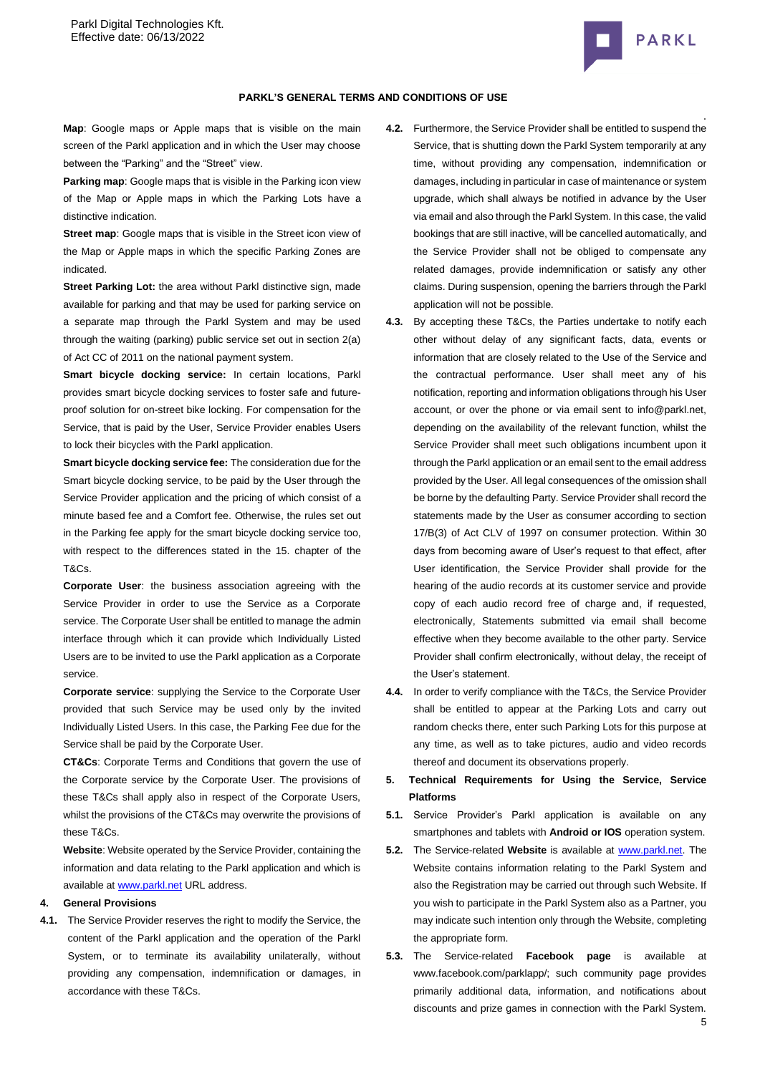

**Map**: Google maps or Apple maps that is visible on the main screen of the Parkl application and in which the User may choose between the "Parking" and the "Street" view.

**Parking map**: Google maps that is visible in the Parking icon view of the Map or Apple maps in which the Parking Lots have a distinctive indication.

**Street map:** Google maps that is visible in the Street icon view of the Map or Apple maps in which the specific Parking Zones are indicated.

**Street Parking Lot:** the area without Parkl distinctive sign, made available for parking and that may be used for parking service on a separate map through the Parkl System and may be used through the waiting (parking) public service set out in section 2(a) of Act CC of 2011 on the national payment system.

**Smart bicycle docking service:** In certain locations, Parkl provides smart bicycle docking services to foster safe and futureproof solution for on-street bike locking. For compensation for the Service, that is paid by the User, Service Provider enables Users to lock their bicycles with the Parkl application.

**Smart bicycle docking service fee:** The consideration due for the Smart bicycle docking service, to be paid by the User through the Service Provider application and the pricing of which consist of a minute based fee and a Comfort fee. Otherwise, the rules set out in the Parking fee apply for the smart bicycle docking service too, with respect to the differences stated in the 15. chapter of the T&Cs.

**Corporate User**: the business association agreeing with the Service Provider in order to use the Service as a Corporate service. The Corporate User shall be entitled to manage the admin interface through which it can provide which Individually Listed Users are to be invited to use the Parkl application as a Corporate service.

**Corporate service**: supplying the Service to the Corporate User provided that such Service may be used only by the invited Individually Listed Users. In this case, the Parking Fee due for the Service shall be paid by the Corporate User.

**CT&Cs**: Corporate Terms and Conditions that govern the use of the Corporate service by the Corporate User. The provisions of these T&Cs shall apply also in respect of the Corporate Users, whilst the provisions of the CT&Cs may overwrite the provisions of these T&Cs.

**Website**: Website operated by the Service Provider, containing the information and data relating to the Parkl application and which is available a[t www.parkl.net](http://www.parkl.net/) URL address.

# **4. General Provisions**

**4.1.** The Service Provider reserves the right to modify the Service, the content of the Parkl application and the operation of the Parkl System, or to terminate its availability unilaterally, without providing any compensation, indemnification or damages, in accordance with these T&Cs.

- . **4.2.** Furthermore, the Service Provider shall be entitled to suspend the Service, that is shutting down the Parkl System temporarily at any time, without providing any compensation, indemnification or damages, including in particular in case of maintenance or system upgrade, which shall always be notified in advance by the User via email and also through the Parkl System. In this case, the valid bookings that are still inactive, will be cancelled automatically, and the Service Provider shall not be obliged to compensate any related damages, provide indemnification or satisfy any other claims. During suspension, opening the barriers through the Parkl application will not be possible.
- **4.3.** By accepting these T&Cs, the Parties undertake to notify each other without delay of any significant facts, data, events or information that are closely related to the Use of the Service and the contractual performance. User shall meet any of his notification, reporting and information obligations through his User account, or over the phone or via email sent to info@parkl.net, depending on the availability of the relevant function, whilst the Service Provider shall meet such obligations incumbent upon it through the Parkl application or an email sent to the email address provided by the User. All legal consequences of the omission shall be borne by the defaulting Party. Service Provider shall record the statements made by the User as consumer according to section 17/B(3) of Act CLV of 1997 on consumer protection. Within 30 days from becoming aware of User's request to that effect, after User identification, the Service Provider shall provide for the hearing of the audio records at its customer service and provide copy of each audio record free of charge and, if requested, electronically, Statements submitted via email shall become effective when they become available to the other party. Service Provider shall confirm electronically, without delay, the receipt of the User's statement.
- **4.4.** In order to verify compliance with the T&Cs, the Service Provider shall be entitled to appear at the Parking Lots and carry out random checks there, enter such Parking Lots for this purpose at any time, as well as to take pictures, audio and video records thereof and document its observations properly.

# **5. Technical Requirements for Using the Service, Service Platforms**

- **5.1.** Service Provider's Parkl application is available on any smartphones and tablets with **Android or IOS** operation system.
- **5.2.** The Service-related **Website** is available at [www.parkl.net.](http://www.parkl.net/) The Website contains information relating to the Parkl System and also the Registration may be carried out through such Website. If you wish to participate in the Parkl System also as a Partner, you may indicate such intention only through the Website, completing the appropriate form.
- **5.3.** The Service-related **Facebook page** is available at www.facebook.com/parklapp/; such community page provides primarily additional data, information, and notifications about discounts and prize games in connection with the Parkl System.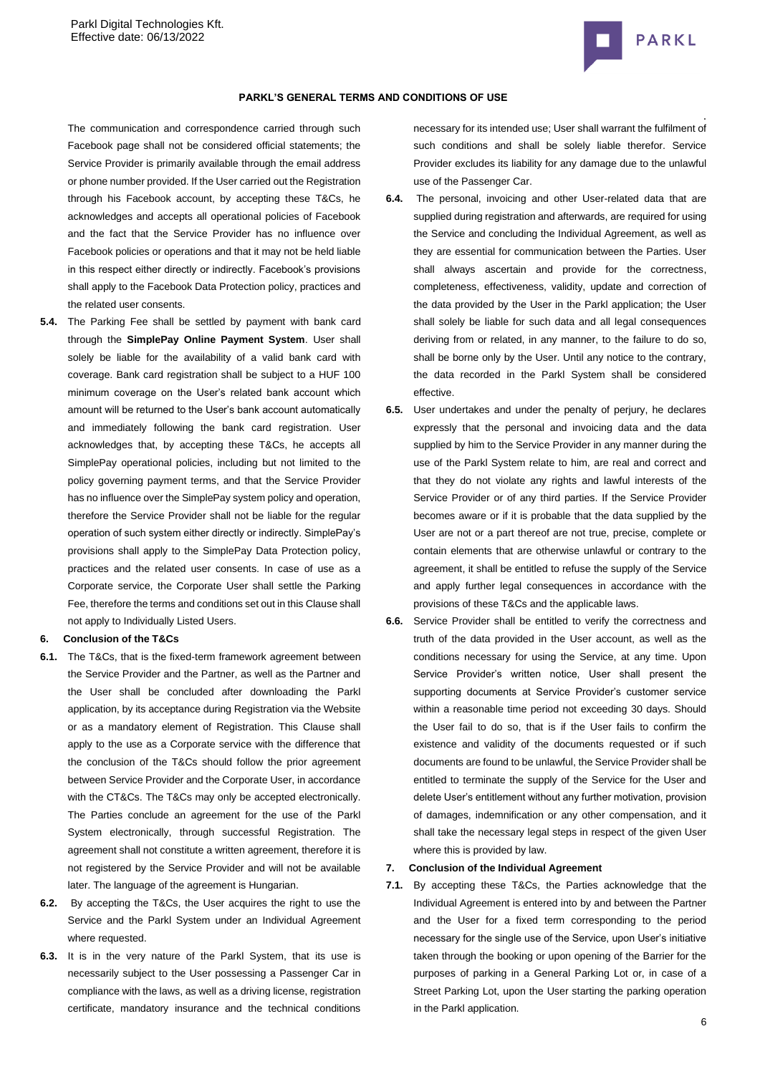

### **PARKL'S GENERAL TERMS AND CONDITIONS OF USE**

The communication and correspondence carried through such Facebook page shall not be considered official statements; the Service Provider is primarily available through the email address or phone number provided. If the User carried out the Registration through his Facebook account, by accepting these T&Cs, he acknowledges and accepts all operational policies of Facebook and the fact that the Service Provider has no influence over Facebook policies or operations and that it may not be held liable in this respect either directly or indirectly. Facebook's provisions shall apply to the Facebook Data Protection policy, practices and the related user consents.

**5.4.** The Parking Fee shall be settled by payment with bank card through the **SimplePay Online Payment System**. User shall solely be liable for the availability of a valid bank card with coverage. Bank card registration shall be subject to a HUF 100 minimum coverage on the User's related bank account which amount will be returned to the User's bank account automatically and immediately following the bank card registration. User acknowledges that, by accepting these T&Cs, he accepts all SimplePay operational policies, including but not limited to the policy governing payment terms, and that the Service Provider has no influence over the SimplePay system policy and operation, therefore the Service Provider shall not be liable for the regular operation of such system either directly or indirectly. SimplePay's provisions shall apply to the SimplePay Data Protection policy, practices and the related user consents. In case of use as a Corporate service, the Corporate User shall settle the Parking Fee, therefore the terms and conditions set out in this Clause shall not apply to Individually Listed Users.

#### **6. Conclusion of the T&Cs**

- **6.1.** The T&Cs, that is the fixed-term framework agreement between the Service Provider and the Partner, as well as the Partner and the User shall be concluded after downloading the Parkl application, by its acceptance during Registration via the Website or as a mandatory element of Registration. This Clause shall apply to the use as a Corporate service with the difference that the conclusion of the T&Cs should follow the prior agreement between Service Provider and the Corporate User, in accordance with the CT&Cs. The T&Cs may only be accepted electronically. The Parties conclude an agreement for the use of the Parkl System electronically, through successful Registration. The agreement shall not constitute a written agreement, therefore it is not registered by the Service Provider and will not be available later. The language of the agreement is Hungarian.
- **6.2.** By accepting the T&Cs, the User acquires the right to use the Service and the Parkl System under an Individual Agreement where requested.
- **6.3.** It is in the very nature of the Parkl System, that its use is necessarily subject to the User possessing a Passenger Car in compliance with the laws, as well as a driving license, registration certificate, mandatory insurance and the technical conditions

necessary for its intended use; User shall warrant the fulfilment of such conditions and shall be solely liable therefor. Service Provider excludes its liability for any damage due to the unlawful use of the Passenger Car.

- **6.4.** The personal, invoicing and other User-related data that are supplied during registration and afterwards, are required for using the Service and concluding the Individual Agreement, as well as they are essential for communication between the Parties. User shall always ascertain and provide for the correctness, completeness, effectiveness, validity, update and correction of the data provided by the User in the Parkl application; the User shall solely be liable for such data and all legal consequences deriving from or related, in any manner, to the failure to do so, shall be borne only by the User. Until any notice to the contrary, the data recorded in the Parkl System shall be considered effective.
- **6.5.** User undertakes and under the penalty of perjury, he declares expressly that the personal and invoicing data and the data supplied by him to the Service Provider in any manner during the use of the Parkl System relate to him, are real and correct and that they do not violate any rights and lawful interests of the Service Provider or of any third parties. If the Service Provider becomes aware or if it is probable that the data supplied by the User are not or a part thereof are not true, precise, complete or contain elements that are otherwise unlawful or contrary to the agreement, it shall be entitled to refuse the supply of the Service and apply further legal consequences in accordance with the provisions of these T&Cs and the applicable laws.
- **6.6.** Service Provider shall be entitled to verify the correctness and truth of the data provided in the User account, as well as the conditions necessary for using the Service, at any time. Upon Service Provider's written notice, User shall present the supporting documents at Service Provider's customer service within a reasonable time period not exceeding 30 days. Should the User fail to do so, that is if the User fails to confirm the existence and validity of the documents requested or if such documents are found to be unlawful, the Service Provider shall be entitled to terminate the supply of the Service for the User and delete User's entitlement without any further motivation, provision of damages, indemnification or any other compensation, and it shall take the necessary legal steps in respect of the given User where this is provided by law.

# **7. Conclusion of the Individual Agreement**

**7.1.** By accepting these T&Cs, the Parties acknowledge that the Individual Agreement is entered into by and between the Partner and the User for a fixed term corresponding to the period necessary for the single use of the Service, upon User's initiative taken through the booking or upon opening of the Barrier for the purposes of parking in a General Parking Lot or, in case of a Street Parking Lot, upon the User starting the parking operation in the Parkl application.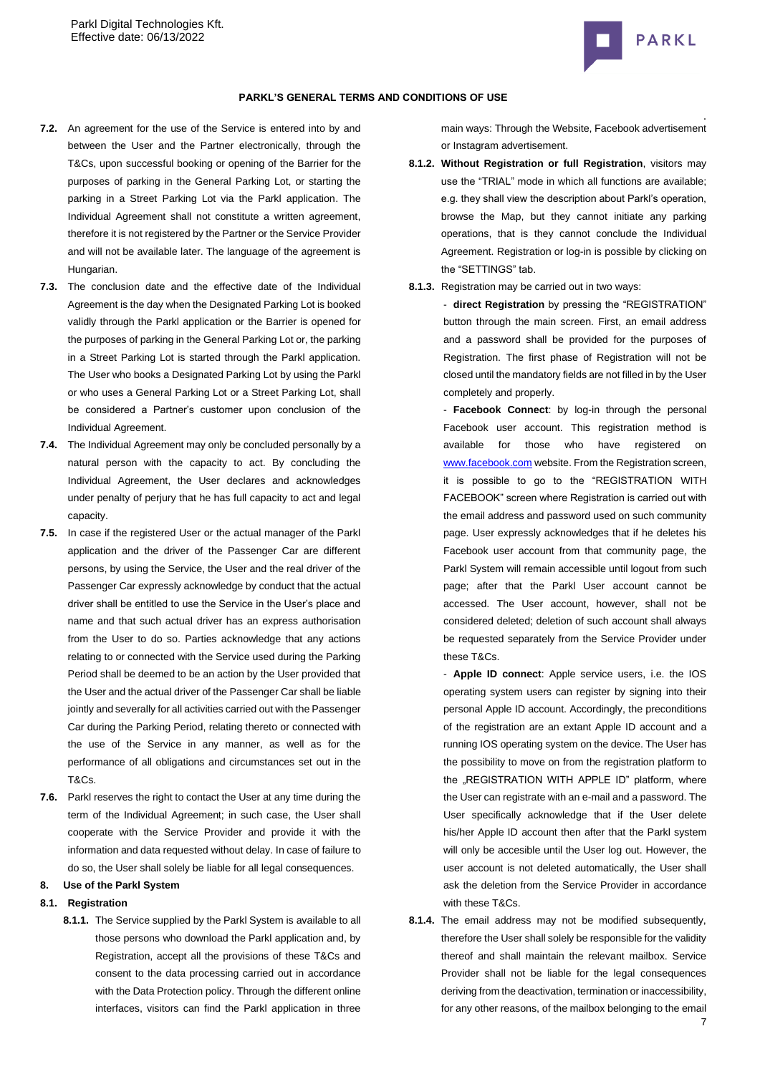

### **PARKL'S GENERAL TERMS AND CONDITIONS OF USE**

- **7.2.** An agreement for the use of the Service is entered into by and between the User and the Partner electronically, through the T&Cs, upon successful booking or opening of the Barrier for the purposes of parking in the General Parking Lot, or starting the parking in a Street Parking Lot via the Parkl application. The Individual Agreement shall not constitute a written agreement, therefore it is not registered by the Partner or the Service Provider and will not be available later. The language of the agreement is Hungarian.
- **7.3.** The conclusion date and the effective date of the Individual Agreement is the day when the Designated Parking Lot is booked validly through the Parkl application or the Barrier is opened for the purposes of parking in the General Parking Lot or, the parking in a Street Parking Lot is started through the Parkl application. The User who books a Designated Parking Lot by using the Parkl or who uses a General Parking Lot or a Street Parking Lot, shall be considered a Partner's customer upon conclusion of the Individual Agreement.
- **7.4.** The Individual Agreement may only be concluded personally by a natural person with the capacity to act. By concluding the Individual Agreement, the User declares and acknowledges under penalty of perjury that he has full capacity to act and legal capacity.
- **7.5.** In case if the registered User or the actual manager of the Parkl application and the driver of the Passenger Car are different persons, by using the Service, the User and the real driver of the Passenger Car expressly acknowledge by conduct that the actual driver shall be entitled to use the Service in the User's place and name and that such actual driver has an express authorisation from the User to do so. Parties acknowledge that any actions relating to or connected with the Service used during the Parking Period shall be deemed to be an action by the User provided that the User and the actual driver of the Passenger Car shall be liable jointly and severally for all activities carried out with the Passenger Car during the Parking Period, relating thereto or connected with the use of the Service in any manner, as well as for the performance of all obligations and circumstances set out in the T&Cs.
- **7.6.** Parkl reserves the right to contact the User at any time during the term of the Individual Agreement; in such case, the User shall cooperate with the Service Provider and provide it with the information and data requested without delay. In case of failure to do so, the User shall solely be liable for all legal consequences.

# **8. Use of the Parkl System**

# <span id="page-6-0"></span>**8.1. Registration**

**8.1.1.** The Service supplied by the Parkl System is available to all those persons who download the Parkl application and, by Registration, accept all the provisions of these T&Cs and consent to the data processing carried out in accordance with the Data Protection policy. Through the different online interfaces, visitors can find the Parkl application in three main ways: Through the Website, Facebook advertisement or Instagram advertisement.

- **8.1.2. Without Registration or full Registration**, visitors may use the "TRIAL" mode in which all functions are available; e.g. they shall view the description about Parkl's operation, browse the Map, but they cannot initiate any parking operations, that is they cannot conclude the Individual Agreement. Registration or log-in is possible by clicking on the "SETTINGS" tab.
- **8.1.3.** Registration may be carried out in two ways:

- **direct Registration** by pressing the "REGISTRATION" button through the main screen. First, an email address and a password shall be provided for the purposes of Registration. The first phase of Registration will not be closed until the mandatory fields are not filled in by the User completely and properly.

- **Facebook Connect**: by log-in through the personal Facebook user account. This registration method is available for those who have registered on [www.facebook.com](http://www.facebook.com/) website. From the Registration screen, it is possible to go to the "REGISTRATION WITH FACEBOOK" screen where Registration is carried out with the email address and password used on such community page. User expressly acknowledges that if he deletes his Facebook user account from that community page, the Parkl System will remain accessible until logout from such page; after that the Parkl User account cannot be accessed. The User account, however, shall not be considered deleted; deletion of such account shall always be requested separately from the Service Provider under these T&Cs.

- **Apple ID connect**: Apple service users, i.e. the IOS operating system users can register by signing into their personal Apple ID account. Accordingly, the preconditions of the registration are an extant Apple ID account and a running IOS operating system on the device. The User has the possibility to move on from the registration platform to the "REGISTRATION WITH APPLE ID" platform, where the User can registrate with an e-mail and a password. The User specifically acknowledge that if the User delete his/her Apple ID account then after that the Parkl system will only be accesible until the User log out. However, the user account is not deleted automatically, the User shall ask the deletion from the Service Provider in accordance with these T&Cs.

**8.1.4.** The email address may not be modified subsequently. therefore the User shall solely be responsible for the validity thereof and shall maintain the relevant mailbox. Service Provider shall not be liable for the legal consequences deriving from the deactivation, termination or inaccessibility, for any other reasons, of the mailbox belonging to the email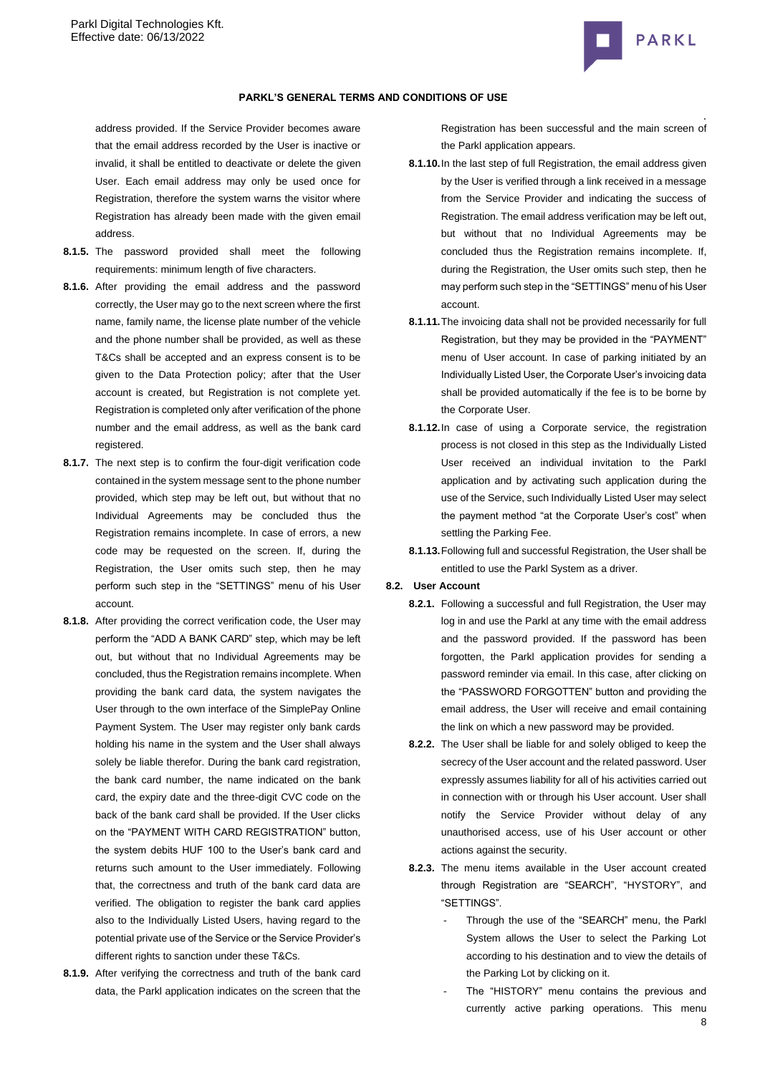

address provided. If the Service Provider becomes aware that the email address recorded by the User is inactive or invalid, it shall be entitled to deactivate or delete the given User. Each email address may only be used once for Registration, therefore the system warns the visitor where Registration has already been made with the given email address.

- **8.1.5.** The password provided shall meet the following requirements: minimum length of five characters.
- **8.1.6.** After providing the email address and the password correctly, the User may go to the next screen where the first name, family name, the license plate number of the vehicle and the phone number shall be provided, as well as these T&Cs shall be accepted and an express consent is to be given to the Data Protection policy; after that the User account is created, but Registration is not complete yet. Registration is completed only after verification of the phone number and the email address, as well as the bank card registered.
- **8.1.7.** The next step is to confirm the four-digit verification code contained in the system message sent to the phone number provided, which step may be left out, but without that no Individual Agreements may be concluded thus the Registration remains incomplete. In case of errors, a new code may be requested on the screen. If, during the Registration, the User omits such step, then he may perform such step in the "SETTINGS" menu of his User account.
- **8.1.8.** After providing the correct verification code, the User may perform the "ADD A BANK CARD" step, which may be left out, but without that no Individual Agreements may be concluded, thus the Registration remains incomplete. When providing the bank card data, the system navigates the User through to the own interface of the SimplePay Online Payment System. The User may register only bank cards holding his name in the system and the User shall always solely be liable therefor. During the bank card registration, the bank card number, the name indicated on the bank card, the expiry date and the three-digit CVC code on the back of the bank card shall be provided. If the User clicks on the "PAYMENT WITH CARD REGISTRATION" button, the system debits HUF 100 to the User's bank card and returns such amount to the User immediately. Following that, the correctness and truth of the bank card data are verified. The obligation to register the bank card applies also to the Individually Listed Users, having regard to the potential private use of the Service or the Service Provider's different rights to sanction under these T&Cs.
- **8.1.9.** After verifying the correctness and truth of the bank card data, the Parkl application indicates on the screen that the

. Registration has been successful and the main screen of the Parkl application appears.

- **8.1.10.**In the last step of full Registration, the email address given by the User is verified through a link received in a message from the Service Provider and indicating the success of Registration. The email address verification may be left out, but without that no Individual Agreements may be concluded thus the Registration remains incomplete. If, during the Registration, the User omits such step, then he may perform such step in the "SETTINGS" menu of his User account.
- **8.1.11.**The invoicing data shall not be provided necessarily for full Registration, but they may be provided in the "PAYMENT" menu of User account. In case of parking initiated by an Individually Listed User, the Corporate User's invoicing data shall be provided automatically if the fee is to be borne by the Corporate User.
- **8.1.12.**In case of using a Corporate service, the registration process is not closed in this step as the Individually Listed User received an individual invitation to the Parkl application and by activating such application during the use of the Service, such Individually Listed User may select the payment method "at the Corporate User's cost" when settling the Parking Fee.
- **8.1.13.**Following full and successful Registration, the User shall be entitled to use the Parkl System as a driver.

### **8.2. User Account**

- **8.2.1.** Following a successful and full Registration, the User may log in and use the Parkl at any time with the email address and the password provided. If the password has been forgotten, the Parkl application provides for sending a password reminder via email. In this case, after clicking on the "PASSWORD FORGOTTEN" button and providing the email address, the User will receive and email containing the link on which a new password may be provided.
- **8.2.2.** The User shall be liable for and solely obliged to keep the secrecy of the User account and the related password. User expressly assumes liability for all of his activities carried out in connection with or through his User account. User shall notify the Service Provider without delay of any unauthorised access, use of his User account or other actions against the security.
- **8.2.3.** The menu items available in the User account created through Registration are "SEARCH", "HYSTORY", and "SETTINGS".
	- Through the use of the "SEARCH" menu, the Parkl System allows the User to select the Parking Lot according to his destination and to view the details of the Parking Lot by clicking on it.
	- 8 The "HISTORY" menu contains the previous and currently active parking operations. This menu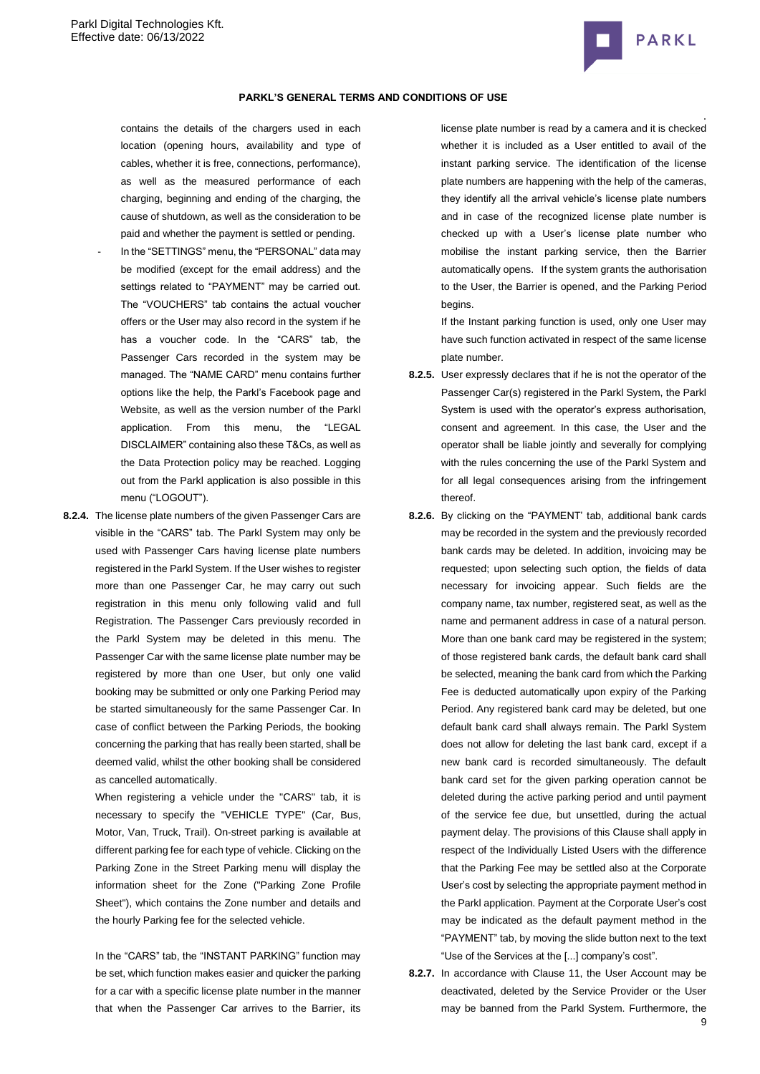

#### **PARKL'S GENERAL TERMS AND CONDITIONS OF USE**

contains the details of the chargers used in each location (opening hours, availability and type of cables, whether it is free, connections, performance), as well as the measured performance of each charging, beginning and ending of the charging, the cause of shutdown, as well as the consideration to be paid and whether the payment is settled or pending.

- In the "SETTINGS" menu, the "PERSONAL" data may be modified (except for the email address) and the settings related to "PAYMENT" may be carried out. The "VOUCHERS" tab contains the actual voucher offers or the User may also record in the system if he has a voucher code. In the "CARS" tab, the Passenger Cars recorded in the system may be managed. The "NAME CARD" menu contains further options like the help, the Parkl's Facebook page and Website, as well as the version number of the Parkl application. From this menu, the "LEGAL DISCLAIMER" containing also these T&Cs, as well as the Data Protection policy may be reached. Logging out from the Parkl application is also possible in this menu ("LOGOUT").
- **8.2.4.** The license plate numbers of the given Passenger Cars are visible in the "CARS" tab. The Parkl System may only be used with Passenger Cars having license plate numbers registered in the Parkl System. If the User wishes to register more than one Passenger Car, he may carry out such registration in this menu only following valid and full Registration. The Passenger Cars previously recorded in the Parkl System may be deleted in this menu. The Passenger Car with the same license plate number may be registered by more than one User, but only one valid booking may be submitted or only one Parking Period may be started simultaneously for the same Passenger Car. In case of conflict between the Parking Periods, the booking concerning the parking that has really been started, shall be deemed valid, whilst the other booking shall be considered as cancelled automatically.

When registering a vehicle under the "CARS" tab, it is necessary to specify the "VEHICLE TYPE" (Car, Bus, Motor, Van, Truck, Trail). On-street parking is available at different parking fee for each type of vehicle. Clicking on the Parking Zone in the Street Parking menu will display the information sheet for the Zone ("Parking Zone Profile Sheet"), which contains the Zone number and details and the hourly Parking fee for the selected vehicle.

In the "CARS" tab, the "INSTANT PARKING" function may be set, which function makes easier and quicker the parking for a car with a specific license plate number in the manner that when the Passenger Car arrives to the Barrier, its license plate number is read by a camera and it is checked whether it is included as a User entitled to avail of the instant parking service. The identification of the license plate numbers are happening with the help of the cameras, they identify all the arrival vehicle's license plate numbers and in case of the recognized license plate number is checked up with a User's license plate number who mobilise the instant parking service, then the Barrier automatically opens. If the system grants the authorisation to the User, the Barrier is opened, and the Parking Period begins.

If the Instant parking function is used, only one User may have such function activated in respect of the same license plate number.

- **8.2.5.** User expressly declares that if he is not the operator of the Passenger Car(s) registered in the Parkl System, the Parkl System is used with the operator's express authorisation, consent and agreement. In this case, the User and the operator shall be liable jointly and severally for complying with the rules concerning the use of the Parkl System and for all legal consequences arising from the infringement thereof.
- **8.2.6.** By clicking on the "PAYMENT' tab, additional bank cards may be recorded in the system and the previously recorded bank cards may be deleted. In addition, invoicing may be requested; upon selecting such option, the fields of data necessary for invoicing appear. Such fields are the company name, tax number, registered seat, as well as the name and permanent address in case of a natural person. More than one bank card may be registered in the system; of those registered bank cards, the default bank card shall be selected, meaning the bank card from which the Parking Fee is deducted automatically upon expiry of the Parking Period. Any registered bank card may be deleted, but one default bank card shall always remain. The Parkl System does not allow for deleting the last bank card, except if a new bank card is recorded simultaneously. The default bank card set for the given parking operation cannot be deleted during the active parking period and until payment of the service fee due, but unsettled, during the actual payment delay. The provisions of this Clause shall apply in respect of the Individually Listed Users with the difference that the Parking Fee may be settled also at the Corporate User's cost by selecting the appropriate payment method in the Parkl application. Payment at the Corporate User's cost may be indicated as the default payment method in the "PAYMENT" tab, by moving the slide button next to the text "Use of the Services at the [...] company's cost".
- **8.2.7.** In accordance with Clause 11, the User Account may be deactivated, deleted by the Service Provider or the User may be banned from the Parkl System. Furthermore, the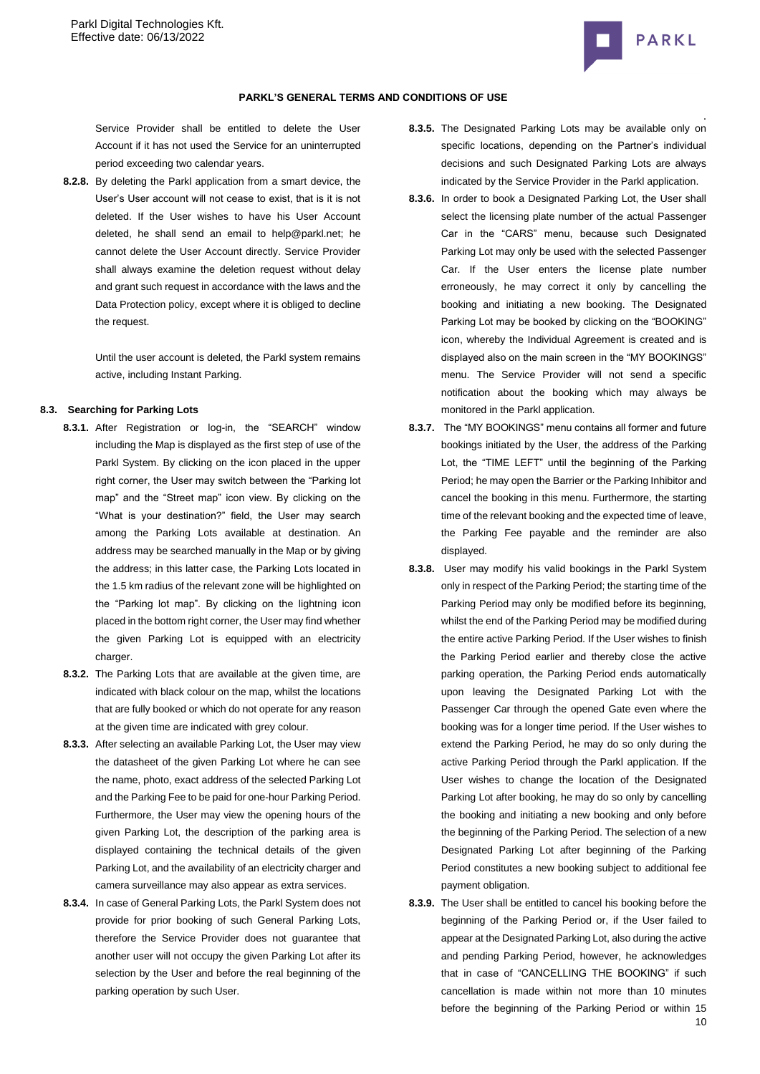

Service Provider shall be entitled to delete the User Account if it has not used the Service for an uninterrupted period exceeding two calendar years.

**8.2.8.** By deleting the Parkl application from a smart device, the User's User account will not cease to exist, that is it is not deleted. If the User wishes to have his User Account deleted, he shall send an email to help@parkl.net; he cannot delete the User Account directly. Service Provider shall always examine the deletion request without delay and grant such request in accordance with the laws and the Data Protection policy, except where it is obliged to decline the request.

> Until the user account is deleted, the Parkl system remains active, including Instant Parking.

# **8.3. Searching for Parking Lots**

- **8.3.1.** After Registration or log-in, the "SEARCH" window including the Map is displayed as the first step of use of the Parkl System. By clicking on the icon placed in the upper right corner, the User may switch between the "Parking lot map" and the "Street map" icon view. By clicking on the "What is your destination?" field, the User may search among the Parking Lots available at destination. An address may be searched manually in the Map or by giving the address; in this latter case, the Parking Lots located in the 1.5 km radius of the relevant zone will be highlighted on the "Parking lot map". By clicking on the lightning icon placed in the bottom right corner, the User may find whether the given Parking Lot is equipped with an electricity charger.
- **8.3.2.** The Parking Lots that are available at the given time, are indicated with black colour on the map, whilst the locations that are fully booked or which do not operate for any reason at the given time are indicated with grey colour.
- **8.3.3.** After selecting an available Parking Lot, the User may view the datasheet of the given Parking Lot where he can see the name, photo, exact address of the selected Parking Lot and the Parking Fee to be paid for one-hour Parking Period. Furthermore, the User may view the opening hours of the given Parking Lot, the description of the parking area is displayed containing the technical details of the given Parking Lot, and the availability of an electricity charger and camera surveillance may also appear as extra services.
- **8.3.4.** In case of General Parking Lots, the Parkl System does not provide for prior booking of such General Parking Lots, therefore the Service Provider does not guarantee that another user will not occupy the given Parking Lot after its selection by the User and before the real beginning of the parking operation by such User.
- . **8.3.5.** The Designated Parking Lots may be available only on specific locations, depending on the Partner's individual decisions and such Designated Parking Lots are always indicated by the Service Provider in the Parkl application.
- **8.3.6.** In order to book a Designated Parking Lot, the User shall select the licensing plate number of the actual Passenger Car in the "CARS" menu, because such Designated Parking Lot may only be used with the selected Passenger Car. If the User enters the license plate number erroneously, he may correct it only by cancelling the booking and initiating a new booking. The Designated Parking Lot may be booked by clicking on the "BOOKING" icon, whereby the Individual Agreement is created and is displayed also on the main screen in the "MY BOOKINGS" menu. The Service Provider will not send a specific notification about the booking which may always be monitored in the Parkl application.
- **8.3.7.** The "MY BOOKINGS" menu contains all former and future bookings initiated by the User, the address of the Parking Lot, the "TIME LEFT" until the beginning of the Parking Period; he may open the Barrier or the Parking Inhibitor and cancel the booking in this menu. Furthermore, the starting time of the relevant booking and the expected time of leave, the Parking Fee payable and the reminder are also displayed.
- **8.3.8.** User may modify his valid bookings in the Parkl System only in respect of the Parking Period; the starting time of the Parking Period may only be modified before its beginning, whilst the end of the Parking Period may be modified during the entire active Parking Period. If the User wishes to finish the Parking Period earlier and thereby close the active parking operation, the Parking Period ends automatically upon leaving the Designated Parking Lot with the Passenger Car through the opened Gate even where the booking was for a longer time period. If the User wishes to extend the Parking Period, he may do so only during the active Parking Period through the Parkl application. If the User wishes to change the location of the Designated Parking Lot after booking, he may do so only by cancelling the booking and initiating a new booking and only before the beginning of the Parking Period. The selection of a new Designated Parking Lot after beginning of the Parking Period constitutes a new booking subject to additional fee payment obligation.
- **8.3.9.** The User shall be entitled to cancel his booking before the beginning of the Parking Period or, if the User failed to appear at the Designated Parking Lot, also during the active and pending Parking Period, however, he acknowledges that in case of "CANCELLING THE BOOKING" if such cancellation is made within not more than 10 minutes before the beginning of the Parking Period or within 15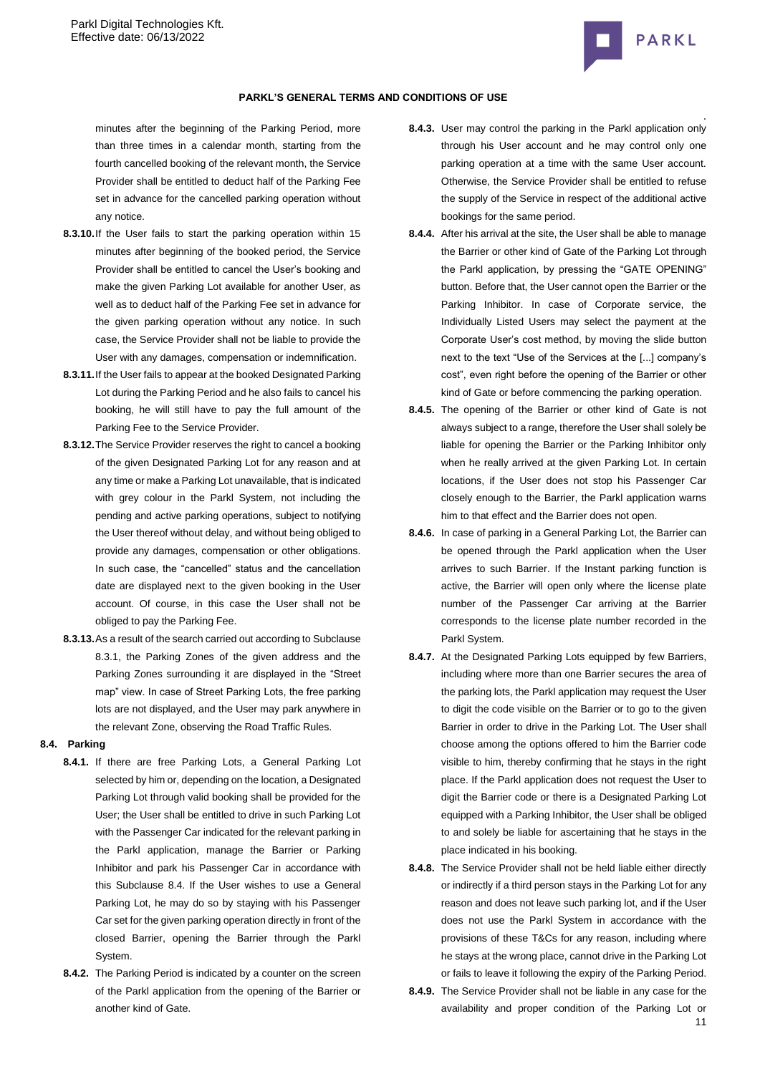

minutes after the beginning of the Parking Period, more than three times in a calendar month, starting from the fourth cancelled booking of the relevant month, the Service Provider shall be entitled to deduct half of the Parking Fee set in advance for the cancelled parking operation without any notice.

- **8.3.10.**If the User fails to start the parking operation within 15 minutes after beginning of the booked period, the Service Provider shall be entitled to cancel the User's booking and make the given Parking Lot available for another User, as well as to deduct half of the Parking Fee set in advance for the given parking operation without any notice. In such case, the Service Provider shall not be liable to provide the User with any damages, compensation or indemnification.
- **8.3.11.**If the User fails to appear at the booked Designated Parking Lot during the Parking Period and he also fails to cancel his booking, he will still have to pay the full amount of the Parking Fee to the Service Provider.
- **8.3.12.**The Service Provider reserves the right to cancel a booking of the given Designated Parking Lot for any reason and at any time or make a Parking Lot unavailable, that is indicated with grey colour in the Parkl System, not including the pending and active parking operations, subject to notifying the User thereof without delay, and without being obliged to provide any damages, compensation or other obligations. In such case, the "cancelled" status and the cancellation date are displayed next to the given booking in the User account. Of course, in this case the User shall not be obliged to pay the Parking Fee.
- **8.3.13.**As a result of the search carried out according to Subclause 8.3.1, the Parking Zones of the given address and the Parking Zones surrounding it are displayed in the "Street map" view. In case of Street Parking Lots, the free parking lots are not displayed, and the User may park anywhere in the relevant Zone, observing the Road Traffic Rules.

# <span id="page-10-0"></span>**8.4. Parking**

- **8.4.1.** If there are free Parking Lots, a General Parking Lot selected by him or, depending on the location, a Designated Parking Lot through valid booking shall be provided for the User; the User shall be entitled to drive in such Parking Lot with the Passenger Car indicated for the relevant parking in the Parkl application, manage the Barrier or Parking Inhibitor and park his Passenger Car in accordance with this Subclause [8.4.](#page-10-0) If the User wishes to use a General Parking Lot, he may do so by staying with his Passenger Car set for the given parking operation directly in front of the closed Barrier, opening the Barrier through the Parkl System.
- **8.4.2.** The Parking Period is indicated by a counter on the screen of the Parkl application from the opening of the Barrier or another kind of Gate.
- . **8.4.3.** User may control the parking in the Parkl application only through his User account and he may control only one parking operation at a time with the same User account. Otherwise, the Service Provider shall be entitled to refuse the supply of the Service in respect of the additional active bookings for the same period.
- **8.4.4.** After his arrival at the site, the User shall be able to manage the Barrier or other kind of Gate of the Parking Lot through the Parkl application, by pressing the "GATE OPENING" button. Before that, the User cannot open the Barrier or the Parking Inhibitor. In case of Corporate service, the Individually Listed Users may select the payment at the Corporate User's cost method, by moving the slide button next to the text "Use of the Services at the [...] company's cost", even right before the opening of the Barrier or other kind of Gate or before commencing the parking operation.
- **8.4.5.** The opening of the Barrier or other kind of Gate is not always subject to a range, therefore the User shall solely be liable for opening the Barrier or the Parking Inhibitor only when he really arrived at the given Parking Lot. In certain locations, if the User does not stop his Passenger Car closely enough to the Barrier, the Parkl application warns him to that effect and the Barrier does not open.
- **8.4.6.** In case of parking in a General Parking Lot, the Barrier can be opened through the Parkl application when the User arrives to such Barrier. If the Instant parking function is active, the Barrier will open only where the license plate number of the Passenger Car arriving at the Barrier corresponds to the license plate number recorded in the Parkl System.
- **8.4.7.** At the Designated Parking Lots equipped by few Barriers, including where more than one Barrier secures the area of the parking lots, the Parkl application may request the User to digit the code visible on the Barrier or to go to the given Barrier in order to drive in the Parking Lot. The User shall choose among the options offered to him the Barrier code visible to him, thereby confirming that he stays in the right place. If the Parkl application does not request the User to digit the Barrier code or there is a Designated Parking Lot equipped with a Parking Inhibitor, the User shall be obliged to and solely be liable for ascertaining that he stays in the place indicated in his booking.
- **8.4.8.** The Service Provider shall not be held liable either directly or indirectly if a third person stays in the Parking Lot for any reason and does not leave such parking lot, and if the User does not use the Parkl System in accordance with the provisions of these T&Cs for any reason, including where he stays at the wrong place, cannot drive in the Parking Lot or fails to leave it following the expiry of the Parking Period.
- 11 **8.4.9.** The Service Provider shall not be liable in any case for the availability and proper condition of the Parking Lot or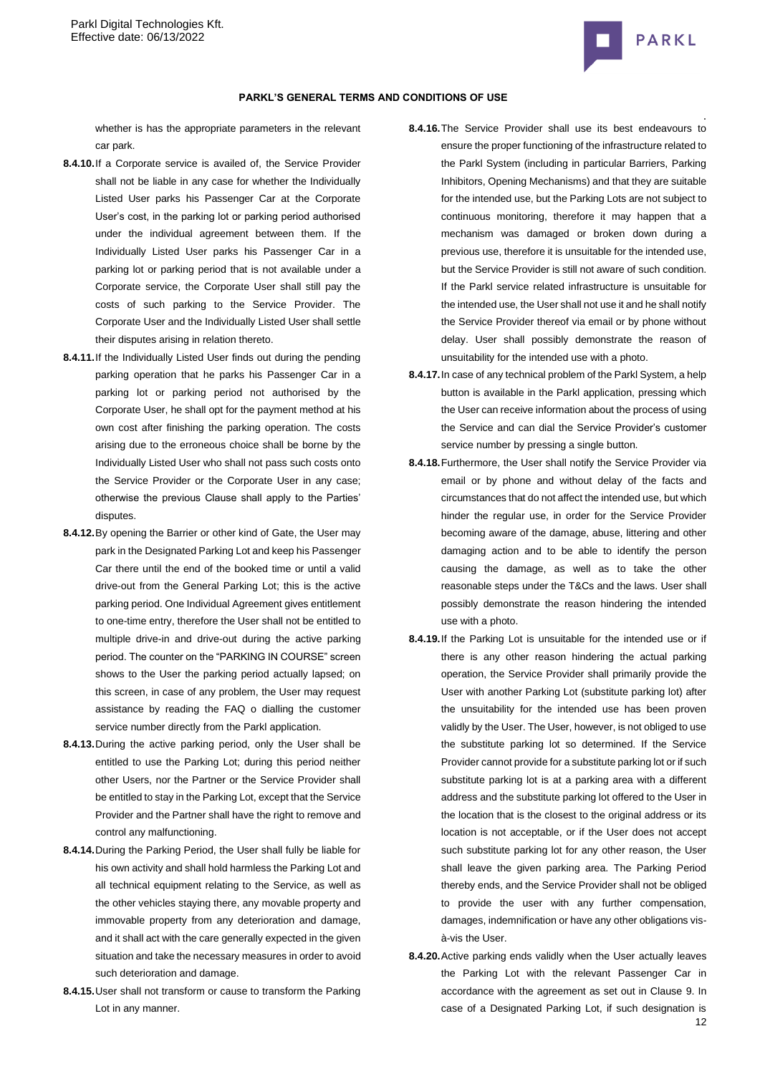

whether is has the appropriate parameters in the relevant car park.

- **8.4.10.**If a Corporate service is availed of, the Service Provider shall not be liable in any case for whether the Individually Listed User parks his Passenger Car at the Corporate User's cost, in the parking lot or parking period authorised under the individual agreement between them. If the Individually Listed User parks his Passenger Car in a parking lot or parking period that is not available under a Corporate service, the Corporate User shall still pay the costs of such parking to the Service Provider. The Corporate User and the Individually Listed User shall settle their disputes arising in relation thereto.
- **8.4.11.**If the Individually Listed User finds out during the pending parking operation that he parks his Passenger Car in a parking lot or parking period not authorised by the Corporate User, he shall opt for the payment method at his own cost after finishing the parking operation. The costs arising due to the erroneous choice shall be borne by the Individually Listed User who shall not pass such costs onto the Service Provider or the Corporate User in any case; otherwise the previous Clause shall apply to the Parties' disputes.
- **8.4.12.**By opening the Barrier or other kind of Gate, the User may park in the Designated Parking Lot and keep his Passenger Car there until the end of the booked time or until a valid drive-out from the General Parking Lot; this is the active parking period. One Individual Agreement gives entitlement to one-time entry, therefore the User shall not be entitled to multiple drive-in and drive-out during the active parking period. The counter on the "PARKING IN COURSE" screen shows to the User the parking period actually lapsed; on this screen, in case of any problem, the User may request assistance by reading the FAQ o dialling the customer service number directly from the Parkl application.
- **8.4.13.**During the active parking period, only the User shall be entitled to use the Parking Lot; during this period neither other Users, nor the Partner or the Service Provider shall be entitled to stay in the Parking Lot, except that the Service Provider and the Partner shall have the right to remove and control any malfunctioning.
- **8.4.14.**During the Parking Period, the User shall fully be liable for his own activity and shall hold harmless the Parking Lot and all technical equipment relating to the Service, as well as the other vehicles staying there, any movable property and immovable property from any deterioration and damage, and it shall act with the care generally expected in the given situation and take the necessary measures in order to avoid such deterioration and damage.
- **8.4.15.**User shall not transform or cause to transform the Parking Lot in any manner.
- . **8.4.16.**The Service Provider shall use its best endeavours to ensure the proper functioning of the infrastructure related to the Parkl System (including in particular Barriers, Parking Inhibitors, Opening Mechanisms) and that they are suitable for the intended use, but the Parking Lots are not subject to continuous monitoring, therefore it may happen that a mechanism was damaged or broken down during a previous use, therefore it is unsuitable for the intended use, but the Service Provider is still not aware of such condition. If the Parkl service related infrastructure is unsuitable for the intended use, the User shall not use it and he shall notify the Service Provider thereof via email or by phone without delay. User shall possibly demonstrate the reason of unsuitability for the intended use with a photo.
- **8.4.17.**In case of any technical problem of the Parkl System, a help button is available in the Parkl application, pressing which the User can receive information about the process of using the Service and can dial the Service Provider's customer service number by pressing a single button.
- **8.4.18.**Furthermore, the User shall notify the Service Provider via email or by phone and without delay of the facts and circumstances that do not affect the intended use, but which hinder the regular use, in order for the Service Provider becoming aware of the damage, abuse, littering and other damaging action and to be able to identify the person causing the damage, as well as to take the other reasonable steps under the T&Cs and the laws. User shall possibly demonstrate the reason hindering the intended use with a photo.
- **8.4.19.**If the Parking Lot is unsuitable for the intended use or if there is any other reason hindering the actual parking operation, the Service Provider shall primarily provide the User with another Parking Lot (substitute parking lot) after the unsuitability for the intended use has been proven validly by the User. The User, however, is not obliged to use the substitute parking lot so determined. If the Service Provider cannot provide for a substitute parking lot or if such substitute parking lot is at a parking area with a different address and the substitute parking lot offered to the User in the location that is the closest to the original address or its location is not acceptable, or if the User does not accept such substitute parking lot for any other reason, the User shall leave the given parking area. The Parking Period thereby ends, and the Service Provider shall not be obliged to provide the user with any further compensation, damages, indemnification or have any other obligations visà-vis the User.
- 12 **8.4.20.**Active parking ends validly when the User actually leaves the Parking Lot with the relevant Passenger Car in accordance with the agreement as set out in Clause [9.](#page-12-0) In case of a Designated Parking Lot, if such designation is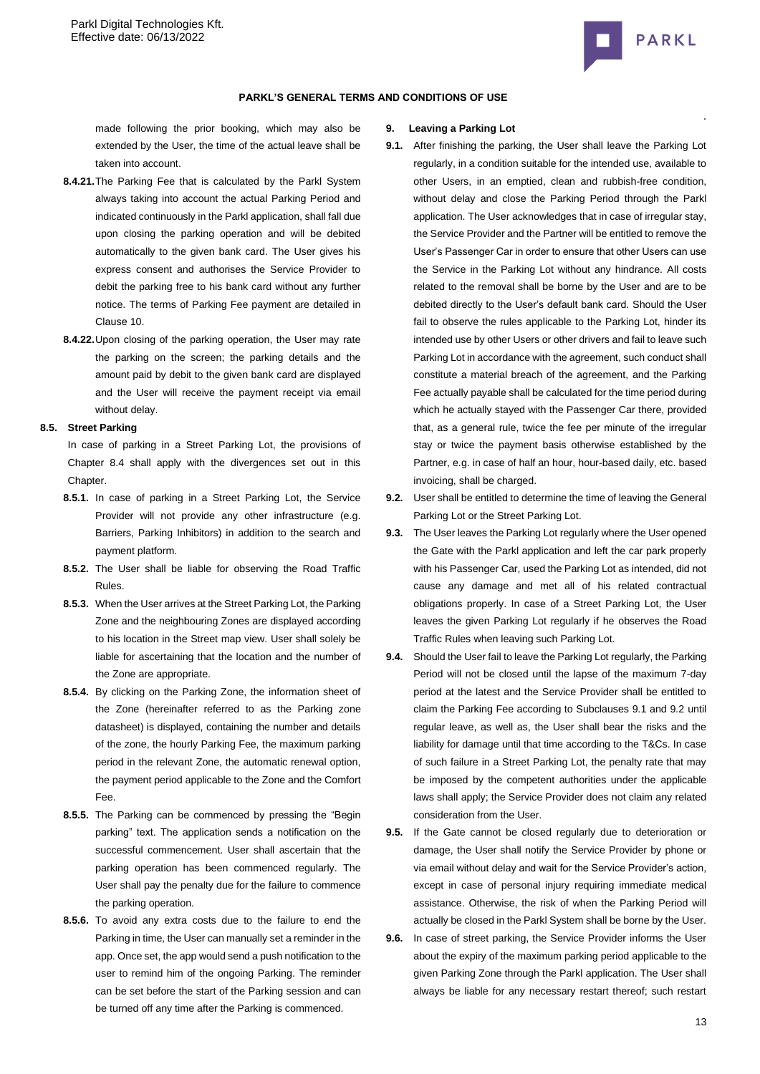

#### **PARKL'S GENERAL TERMS AND CONDITIONS OF USE**

made following the prior booking, which may also be extended by the User, the time of the actual leave shall be taken into account.

- **8.4.21.**The Parking Fee that is calculated by the Parkl System always taking into account the actual Parking Period and indicated continuously in the Parkl application, shall fall due upon closing the parking operation and will be debited automatically to the given bank card. The User gives his express consent and authorises the Service Provider to debit the parking free to his bank card without any further notice. The terms of Parking Fee payment are detailed in Clause [10.](#page-13-0)
- **8.4.22.**Upon closing of the parking operation, the User may rate the parking on the screen; the parking details and the amount paid by debit to the given bank card are displayed and the User will receive the payment receipt via email without delay.

## **8.5. Street Parking**

In case of parking in a Street Parking Lot, the provisions of Chapter 8.4 shall apply with the divergences set out in this Chapter.

- **8.5.1.** In case of parking in a Street Parking Lot, the Service Provider will not provide any other infrastructure (e.g. Barriers, Parking Inhibitors) in addition to the search and payment platform.
- **8.5.2.** The User shall be liable for observing the Road Traffic Rules.
- **8.5.3.** When the User arrives at the Street Parking Lot, the Parking Zone and the neighbouring Zones are displayed according to his location in the Street map view. User shall solely be liable for ascertaining that the location and the number of the Zone are appropriate.
- **8.5.4.** By clicking on the Parking Zone, the information sheet of the Zone (hereinafter referred to as the Parking zone datasheet) is displayed, containing the number and details of the zone, the hourly Parking Fee, the maximum parking period in the relevant Zone, the automatic renewal option, the payment period applicable to the Zone and the Comfort Fee.
- **8.5.5.** The Parking can be commenced by pressing the "Begin parking" text. The application sends a notification on the successful commencement. User shall ascertain that the parking operation has been commenced regularly. The User shall pay the penalty due for the failure to commence the parking operation.
- **8.5.6.** To avoid any extra costs due to the failure to end the Parking in time, the User can manually set a reminder in the app. Once set, the app would send a push notification to the user to remind him of the ongoing Parking. The reminder can be set before the start of the Parking session and can be turned off any time after the Parking is commenced.

#### <span id="page-12-0"></span>**9. Leaving a Parking Lot**

- **9.1.** After finishing the parking, the User shall leave the Parking Lot regularly, in a condition suitable for the intended use, available to other Users, in an emptied, clean and rubbish-free condition, without delay and close the Parking Period through the Parkl application. The User acknowledges that in case of irregular stay, the Service Provider and the Partner will be entitled to remove the User's Passenger Car in order to ensure that other Users can use the Service in the Parking Lot without any hindrance. All costs related to the removal shall be borne by the User and are to be debited directly to the User's default bank card. Should the User fail to observe the rules applicable to the Parking Lot, hinder its intended use by other Users or other drivers and fail to leave such Parking Lot in accordance with the agreement, such conduct shall constitute a material breach of the agreement, and the Parking Fee actually payable shall be calculated for the time period during which he actually stayed with the Passenger Car there, provided that, as a general rule, twice the fee per minute of the irregular stay or twice the payment basis otherwise established by the Partner, e.g. in case of half an hour, hour-based daily, etc. based invoicing, shall be charged.
- **9.2.** User shall be entitled to determine the time of leaving the General Parking Lot or the Street Parking Lot.
- **9.3.** The User leaves the Parking Lot regularly where the User opened the Gate with the Parkl application and left the car park properly with his Passenger Car, used the Parking Lot as intended, did not cause any damage and met all of his related contractual obligations properly. In case of a Street Parking Lot, the User leaves the given Parking Lot regularly if he observes the Road Traffic Rules when leaving such Parking Lot.
- **9.4.** Should the User fail to leave the Parking Lot regularly, the Parking Period will not be closed until the lapse of the maximum 7-day period at the latest and the Service Provider shall be entitled to claim the Parking Fee according to Subclauses 9.1 and 9.2 until regular leave, as well as, the User shall bear the risks and the liability for damage until that time according to the T&Cs. In case of such failure in a Street Parking Lot, the penalty rate that may be imposed by the competent authorities under the applicable laws shall apply; the Service Provider does not claim any related consideration from the User.
- **9.5.** If the Gate cannot be closed regularly due to deterioration or damage, the User shall notify the Service Provider by phone or via email without delay and wait for the Service Provider's action, except in case of personal injury requiring immediate medical assistance. Otherwise, the risk of when the Parking Period will actually be closed in the Parkl System shall be borne by the User.
- **9.6.** In case of street parking, the Service Provider informs the User about the expiry of the maximum parking period applicable to the given Parking Zone through the Parkl application. The User shall always be liable for any necessary restart thereof; such restart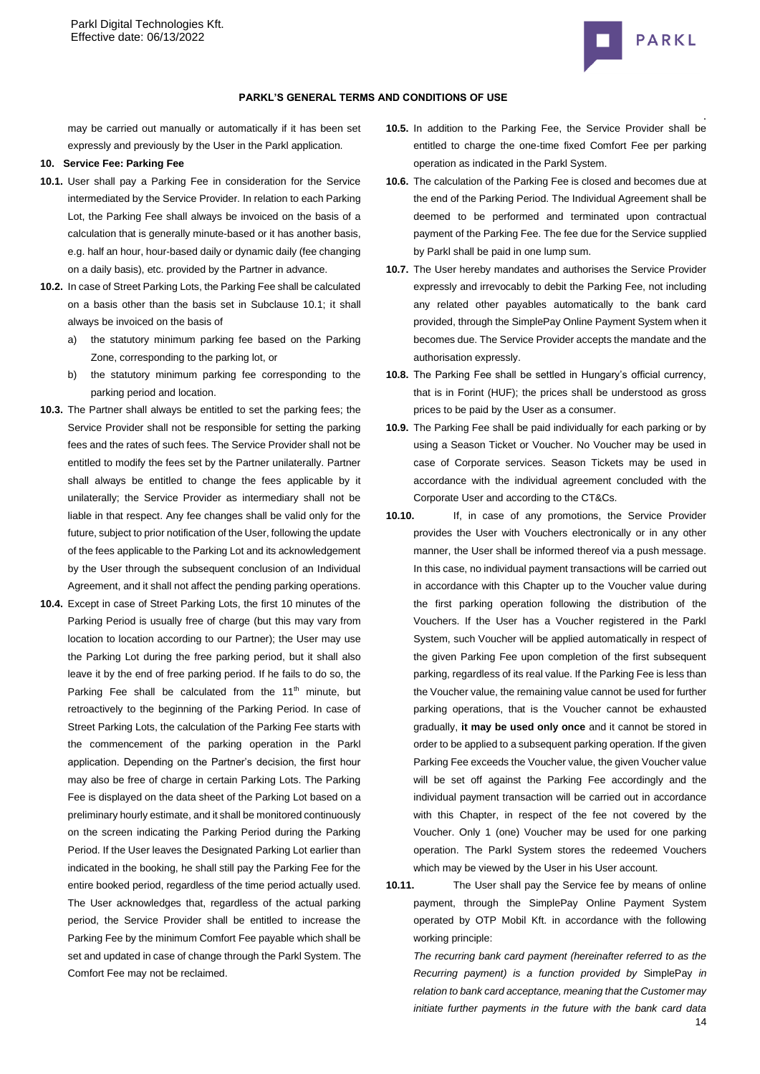

may be carried out manually or automatically if it has been set expressly and previously by the User in the Parkl application.

#### <span id="page-13-0"></span>**10. Service Fee: Parking Fee**

- **10.1.** User shall pay a Parking Fee in consideration for the Service intermediated by the Service Provider. In relation to each Parking Lot, the Parking Fee shall always be invoiced on the basis of a calculation that is generally minute-based or it has another basis, e.g. half an hour, hour-based daily or dynamic daily (fee changing on a daily basis), etc. provided by the Partner in advance.
- **10.2.** In case of Street Parking Lots, the Parking Fee shall be calculated on a basis other than the basis set in Subclause 10.1; it shall always be invoiced on the basis of
	- a) the statutory minimum parking fee based on the Parking Zone, corresponding to the parking lot, or
	- b) the statutory minimum parking fee corresponding to the parking period and location.
- **10.3.** The Partner shall always be entitled to set the parking fees; the Service Provider shall not be responsible for setting the parking fees and the rates of such fees. The Service Provider shall not be entitled to modify the fees set by the Partner unilaterally. Partner shall always be entitled to change the fees applicable by it unilaterally; the Service Provider as intermediary shall not be liable in that respect. Any fee changes shall be valid only for the future, subject to prior notification of the User, following the update of the fees applicable to the Parking Lot and its acknowledgement by the User through the subsequent conclusion of an Individual Agreement, and it shall not affect the pending parking operations.
- **10.4.** Except in case of Street Parking Lots, the first 10 minutes of the Parking Period is usually free of charge (but this may vary from location to location according to our Partner); the User may use the Parking Lot during the free parking period, but it shall also leave it by the end of free parking period. If he fails to do so, the Parking Fee shall be calculated from the  $11<sup>th</sup>$  minute, but retroactively to the beginning of the Parking Period. In case of Street Parking Lots, the calculation of the Parking Fee starts with the commencement of the parking operation in the Parkl application. Depending on the Partner's decision, the first hour may also be free of charge in certain Parking Lots. The Parking Fee is displayed on the data sheet of the Parking Lot based on a preliminary hourly estimate, and it shall be monitored continuously on the screen indicating the Parking Period during the Parking Period. If the User leaves the Designated Parking Lot earlier than indicated in the booking, he shall still pay the Parking Fee for the entire booked period, regardless of the time period actually used. The User acknowledges that, regardless of the actual parking period, the Service Provider shall be entitled to increase the Parking Fee by the minimum Comfort Fee payable which shall be set and updated in case of change through the Parkl System. The Comfort Fee may not be reclaimed.
- . **10.5.** In addition to the Parking Fee, the Service Provider shall be entitled to charge the one-time fixed Comfort Fee per parking operation as indicated in the Parkl System.
- **10.6.** The calculation of the Parking Fee is closed and becomes due at the end of the Parking Period. The Individual Agreement shall be deemed to be performed and terminated upon contractual payment of the Parking Fee. The fee due for the Service supplied by Parkl shall be paid in one lump sum.
- **10.7.** The User hereby mandates and authorises the Service Provider expressly and irrevocably to debit the Parking Fee, not including any related other payables automatically to the bank card provided, through the SimplePay Online Payment System when it becomes due. The Service Provider accepts the mandate and the authorisation expressly.
- **10.8.** The Parking Fee shall be settled in Hungary's official currency, that is in Forint (HUF); the prices shall be understood as gross prices to be paid by the User as a consumer.
- **10.9.** The Parking Fee shall be paid individually for each parking or by using a Season Ticket or Voucher. No Voucher may be used in case of Corporate services. Season Tickets may be used in accordance with the individual agreement concluded with the Corporate User and according to the CT&Cs.
- **10.10.** If, in case of any promotions, the Service Provider provides the User with Vouchers electronically or in any other manner, the User shall be informed thereof via a push message. In this case, no individual payment transactions will be carried out in accordance with this Chapter up to the Voucher value during the first parking operation following the distribution of the Vouchers. If the User has a Voucher registered in the Parkl System, such Voucher will be applied automatically in respect of the given Parking Fee upon completion of the first subsequent parking, regardless of its real value. If the Parking Fee is less than the Voucher value, the remaining value cannot be used for further parking operations, that is the Voucher cannot be exhausted gradually, **it may be used only once** and it cannot be stored in order to be applied to a subsequent parking operation. If the given Parking Fee exceeds the Voucher value, the given Voucher value will be set off against the Parking Fee accordingly and the individual payment transaction will be carried out in accordance with this Chapter, in respect of the fee not covered by the Voucher. Only 1 (one) Voucher may be used for one parking operation. The Parkl System stores the redeemed Vouchers which may be viewed by the User in his User account.
- **10.11.** The User shall pay the Service fee by means of online payment, through the SimplePay Online Payment System operated by OTP Mobil Kft. in accordance with the following working principle:

14 *The recurring bank card payment (hereinafter referred to as the Recurring payment) is a function provided by* SimplePay *in relation to bank card acceptance, meaning that the Customer may initiate further payments in the future with the bank card data*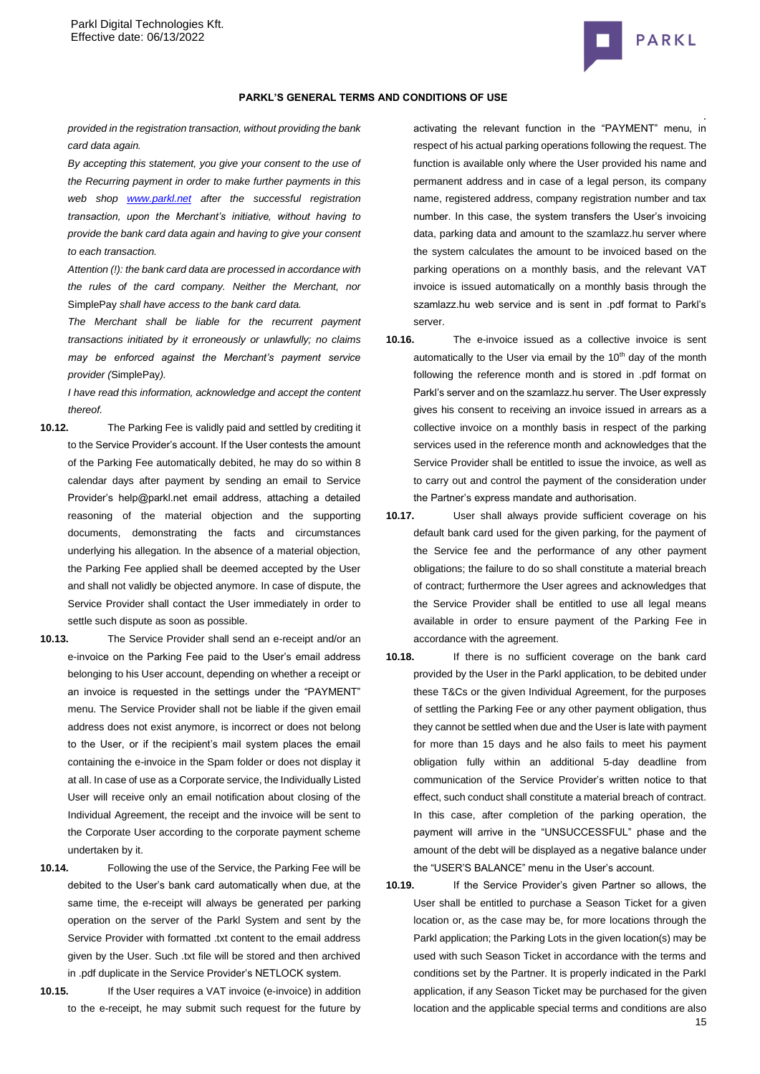

*provided in the registration transaction, without providing the bank card data again.*

*By accepting this statement, you give your consent to the use of the Recurring payment in order to make further payments in this web shop [www.parkl.net](http://www.parkl.net/) after the successful registration transaction, upon the Merchant's initiative, without having to provide the bank card data again and having to give your consent to each transaction.*

*Attention (!): the bank card data are processed in accordance with the rules of the card company. Neither the Merchant, nor*  SimplePay *shall have access to the bank card data.*

*The Merchant shall be liable for the recurrent payment transactions initiated by it erroneously or unlawfully; no claims may be enforced against the Merchant's payment service provider (*SimplePay*).*

*I have read this information, acknowledge and accept the content thereof.*

- **10.12.** The Parking Fee is validly paid and settled by crediting it to the Service Provider's account. If the User contests the amount of the Parking Fee automatically debited, he may do so within 8 calendar days after payment by sending an email to Service Provider's help@parkl.net email address, attaching a detailed reasoning of the material objection and the supporting documents, demonstrating the facts and circumstances underlying his allegation. In the absence of a material objection, the Parking Fee applied shall be deemed accepted by the User and shall not validly be objected anymore. In case of dispute, the Service Provider shall contact the User immediately in order to settle such dispute as soon as possible.
- **10.13.** The Service Provider shall send an e-receipt and/or an e-invoice on the Parking Fee paid to the User's email address belonging to his User account, depending on whether a receipt or an invoice is requested in the settings under the "PAYMENT" menu. The Service Provider shall not be liable if the given email address does not exist anymore, is incorrect or does not belong to the User, or if the recipient's mail system places the email containing the e-invoice in the Spam folder or does not display it at all. In case of use as a Corporate service, the Individually Listed User will receive only an email notification about closing of the Individual Agreement, the receipt and the invoice will be sent to the Corporate User according to the corporate payment scheme undertaken by it.
- **10.14.** Following the use of the Service, the Parking Fee will be debited to the User's bank card automatically when due, at the same time, the e-receipt will always be generated per parking operation on the server of the Parkl System and sent by the Service Provider with formatted .txt content to the email address given by the User. Such .txt file will be stored and then archived in .pdf duplicate in the Service Provider's NETLOCK system.
- **10.15.** If the User requires a VAT invoice (e-invoice) in addition to the e-receipt, he may submit such request for the future by

. activating the relevant function in the "PAYMENT" menu, in respect of his actual parking operations following the request. The function is available only where the User provided his name and permanent address and in case of a legal person, its company name, registered address, company registration number and tax number. In this case, the system transfers the User's invoicing data, parking data and amount to the szamlazz.hu server where the system calculates the amount to be invoiced based on the parking operations on a monthly basis, and the relevant VAT invoice is issued automatically on a monthly basis through the szamlazz.hu web service and is sent in .pdf format to Parkl's server.

**10.16.** The e-invoice issued as a collective invoice is sent automatically to the User via email by the  $10<sup>th</sup>$  day of the month following the reference month and is stored in .pdf format on Parkl's server and on the szamlazz.hu server. The User expressly gives his consent to receiving an invoice issued in arrears as a collective invoice on a monthly basis in respect of the parking services used in the reference month and acknowledges that the Service Provider shall be entitled to issue the invoice, as well as to carry out and control the payment of the consideration under the Partner's express mandate and authorisation.

**10.17.** User shall always provide sufficient coverage on his default bank card used for the given parking, for the payment of the Service fee and the performance of any other payment obligations; the failure to do so shall constitute a material breach of contract; furthermore the User agrees and acknowledges that the Service Provider shall be entitled to use all legal means available in order to ensure payment of the Parking Fee in accordance with the agreement.

- **10.18.** If there is no sufficient coverage on the bank card provided by the User in the Parkl application, to be debited under these T&Cs or the given Individual Agreement, for the purposes of settling the Parking Fee or any other payment obligation, thus they cannot be settled when due and the User is late with payment for more than 15 days and he also fails to meet his payment obligation fully within an additional 5-day deadline from communication of the Service Provider's written notice to that effect, such conduct shall constitute a material breach of contract. In this case, after completion of the parking operation, the payment will arrive in the "UNSUCCESSFUL" phase and the amount of the debt will be displayed as a negative balance under the "USER'S BALANCE" menu in the User's account.
- 15 **10.19.** If the Service Provider's given Partner so allows, the User shall be entitled to purchase a Season Ticket for a given location or, as the case may be, for more locations through the Parkl application; the Parking Lots in the given location(s) may be used with such Season Ticket in accordance with the terms and conditions set by the Partner. It is properly indicated in the Parkl application, if any Season Ticket may be purchased for the given location and the applicable special terms and conditions are also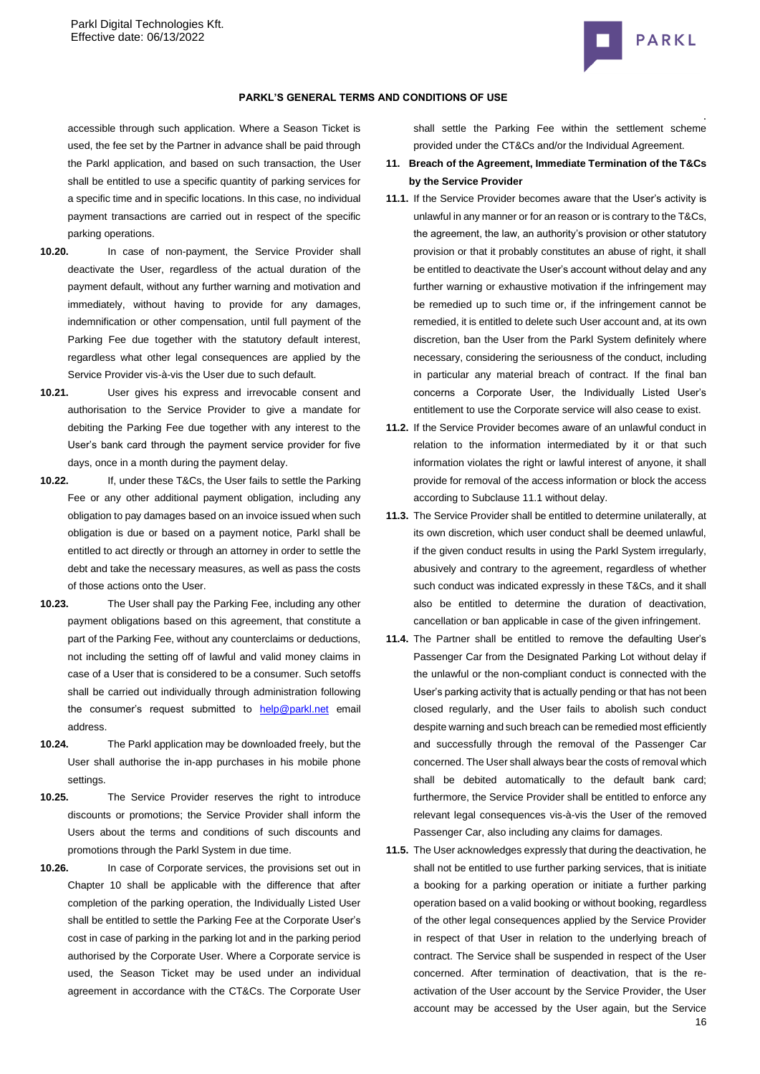

### **PARKL'S GENERAL TERMS AND CONDITIONS OF USE**

accessible through such application. Where a Season Ticket is used, the fee set by the Partner in advance shall be paid through the Parkl application, and based on such transaction, the User shall be entitled to use a specific quantity of parking services for a specific time and in specific locations. In this case, no individual payment transactions are carried out in respect of the specific parking operations.

- **10.20.** In case of non-payment, the Service Provider shall deactivate the User, regardless of the actual duration of the payment default, without any further warning and motivation and immediately, without having to provide for any damages, indemnification or other compensation, until full payment of the Parking Fee due together with the statutory default interest, regardless what other legal consequences are applied by the Service Provider vis-à-vis the User due to such default.
- **10.21.** User gives his express and irrevocable consent and authorisation to the Service Provider to give a mandate for debiting the Parking Fee due together with any interest to the User's bank card through the payment service provider for five days, once in a month during the payment delay.
- **10.22.** If, under these T&Cs, the User fails to settle the Parking Fee or any other additional payment obligation, including any obligation to pay damages based on an invoice issued when such obligation is due or based on a payment notice, Parkl shall be entitled to act directly or through an attorney in order to settle the debt and take the necessary measures, as well as pass the costs of those actions onto the User.
- **10.23.** The User shall pay the Parking Fee, including any other payment obligations based on this agreement, that constitute a part of the Parking Fee, without any counterclaims or deductions, not including the setting off of lawful and valid money claims in case of a User that is considered to be a consumer. Such setoffs shall be carried out individually through administration following the consumer's request submitted to **[help@parkl.net](mailto:help@parkl.net)** email address.
- **10.24.** The Parkl application may be downloaded freely, but the User shall authorise the in-app purchases in his mobile phone settings.
- **10.25.** The Service Provider reserves the right to introduce discounts or promotions; the Service Provider shall inform the Users about the terms and conditions of such discounts and promotions through the Parkl System in due time.
- **10.26.** In case of Corporate services, the provisions set out in Chapter 10 shall be applicable with the difference that after completion of the parking operation, the Individually Listed User shall be entitled to settle the Parking Fee at the Corporate User's cost in case of parking in the parking lot and in the parking period authorised by the Corporate User. Where a Corporate service is used, the Season Ticket may be used under an individual agreement in accordance with the CT&Cs. The Corporate User

shall settle the Parking Fee within the settlement scheme provided under the CT&Cs and/or the Individual Agreement.

- **11. Breach of the Agreement, Immediate Termination of the T&Cs by the Service Provider**
- **11.1.** If the Service Provider becomes aware that the User's activity is unlawful in any manner or for an reason or is contrary to the T&Cs, the agreement, the law, an authority's provision or other statutory provision or that it probably constitutes an abuse of right, it shall be entitled to deactivate the User's account without delay and any further warning or exhaustive motivation if the infringement may be remedied up to such time or, if the infringement cannot be remedied, it is entitled to delete such User account and, at its own discretion, ban the User from the Parkl System definitely where necessary, considering the seriousness of the conduct, including in particular any material breach of contract. If the final ban concerns a Corporate User, the Individually Listed User's entitlement to use the Corporate service will also cease to exist.
- **11.2.** If the Service Provider becomes aware of an unlawful conduct in relation to the information intermediated by it or that such information violates the right or lawful interest of anyone, it shall provide for removal of the access information or block the access according to Subclause 11.1 without delay.
- **11.3.** The Service Provider shall be entitled to determine unilaterally, at its own discretion, which user conduct shall be deemed unlawful, if the given conduct results in using the Parkl System irregularly, abusively and contrary to the agreement, regardless of whether such conduct was indicated expressly in these T&Cs, and it shall also be entitled to determine the duration of deactivation, cancellation or ban applicable in case of the given infringement.
- **11.4.** The Partner shall be entitled to remove the defaulting User's Passenger Car from the Designated Parking Lot without delay if the unlawful or the non-compliant conduct is connected with the User's parking activity that is actually pending or that has not been closed regularly, and the User fails to abolish such conduct despite warning and such breach can be remedied most efficiently and successfully through the removal of the Passenger Car concerned. The User shall always bear the costs of removal which shall be debited automatically to the default bank card; furthermore, the Service Provider shall be entitled to enforce any relevant legal consequences vis-à-vis the User of the removed Passenger Car, also including any claims for damages.
- 16 **11.5.** The User acknowledges expressly that during the deactivation, he shall not be entitled to use further parking services, that is initiate a booking for a parking operation or initiate a further parking operation based on a valid booking or without booking, regardless of the other legal consequences applied by the Service Provider in respect of that User in relation to the underlying breach of contract. The Service shall be suspended in respect of the User concerned. After termination of deactivation, that is the reactivation of the User account by the Service Provider, the User account may be accessed by the User again, but the Service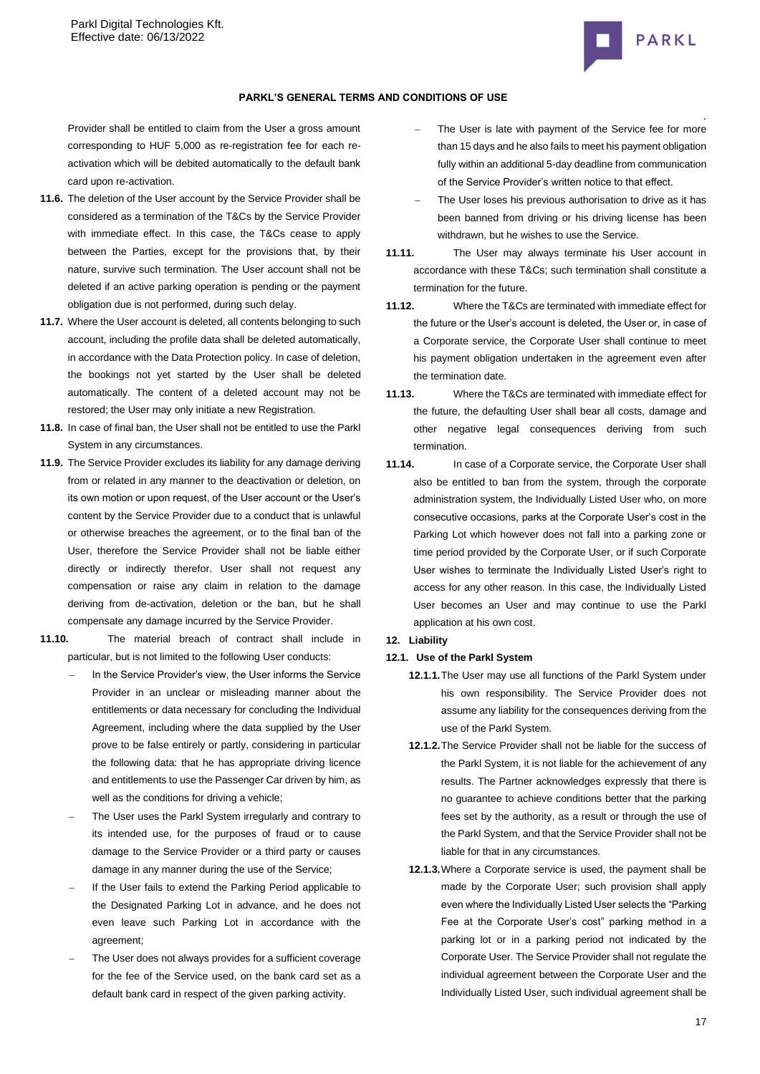

### **PARKL'S GENERAL TERMS AND CONDITIONS OF USE**

Provider shall be entitled to claim from the User a gross amount corresponding to HUF 5,000 as re-registration fee for each reactivation which will be debited automatically to the default bank card upon re-activation.

- **11.6.** The deletion of the User account by the Service Provider shall be considered as a termination of the T&Cs by the Service Provider with immediate effect. In this case, the T&Cs cease to apply between the Parties, except for the provisions that, by their nature, survive such termination. The User account shall not be deleted if an active parking operation is pending or the payment obligation due is not performed, during such delay.
- **11.7.** Where the User account is deleted, all contents belonging to such account, including the profile data shall be deleted automatically, in accordance with the Data Protection policy. In case of deletion, the bookings not yet started by the User shall be deleted automatically. The content of a deleted account may not be restored; the User may only initiate a new Registration.
- **11.8.** In case of final ban, the User shall not be entitled to use the Parkl System in any circumstances.
- **11.9.** The Service Provider excludes its liability for any damage deriving from or related in any manner to the deactivation or deletion, on its own motion or upon request, of the User account or the User's content by the Service Provider due to a conduct that is unlawful or otherwise breaches the agreement, or to the final ban of the User, therefore the Service Provider shall not be liable either directly or indirectly therefor. User shall not request any compensation or raise any claim in relation to the damage deriving from de-activation, deletion or the ban, but he shall compensate any damage incurred by the Service Provider.
- **11.10.** The material breach of contract shall include in particular, but is not limited to the following User conducts:
	- In the Service Provider's view, the User informs the Service Provider in an unclear or misleading manner about the entitlements or data necessary for concluding the Individual Agreement, including where the data supplied by the User prove to be false entirely or partly, considering in particular the following data: that he has appropriate driving licence and entitlements to use the Passenger Car driven by him, as well as the conditions for driving a vehicle;
	- The User uses the Parkl System irregularly and contrary to its intended use, for the purposes of fraud or to cause damage to the Service Provider or a third party or causes damage in any manner during the use of the Service;
	- If the User fails to extend the Parking Period applicable to the Designated Parking Lot in advance, and he does not even leave such Parking Lot in accordance with the agreement;
	- The User does not always provides for a sufficient coverage for the fee of the Service used, on the bank card set as a default bank card in respect of the given parking activity.
- The User is late with payment of the Service fee for more than 15 days and he also fails to meet his payment obligation fully within an additional 5-day deadline from communication of the Service Provider's written notice to that effect.
- The User loses his previous authorisation to drive as it has been banned from driving or his driving license has been withdrawn, but he wishes to use the Service.
- **11.11.** The User may always terminate his User account in accordance with these T&Cs; such termination shall constitute a termination for the future.
- **11.12.** Where the T&Cs are terminated with immediate effect for the future or the User's account is deleted, the User or, in case of a Corporate service, the Corporate User shall continue to meet his payment obligation undertaken in the agreement even after the termination date.
- **11.13.** Where the T&Cs are terminated with immediate effect for the future, the defaulting User shall bear all costs, damage and other negative legal consequences deriving from such termination.
- **11.14.** In case of a Corporate service, the Corporate User shall also be entitled to ban from the system, through the corporate administration system, the Individually Listed User who, on more consecutive occasions, parks at the Corporate User's cost in the Parking Lot which however does not fall into a parking zone or time period provided by the Corporate User, or if such Corporate User wishes to terminate the Individually Listed User's right to access for any other reason. In this case, the Individually Listed User becomes an User and may continue to use the Parkl application at his own cost.

# **12. Liability**

- **12.1. Use of the Parkl System**
	- **12.1.1.**The User may use all functions of the Parkl System under his own responsibility. The Service Provider does not assume any liability for the consequences deriving from the use of the Parkl System.
	- **12.1.2.**The Service Provider shall not be liable for the success of the Parkl System, it is not liable for the achievement of any results. The Partner acknowledges expressly that there is no guarantee to achieve conditions better that the parking fees set by the authority, as a result or through the use of the Parkl System, and that the Service Provider shall not be liable for that in any circumstances.
	- **12.1.3.**Where a Corporate service is used, the payment shall be made by the Corporate User; such provision shall apply even where the Individually Listed User selects the "Parking Fee at the Corporate User's cost" parking method in a parking lot or in a parking period not indicated by the Corporate User. The Service Provider shall not regulate the individual agreement between the Corporate User and the Individually Listed User, such individual agreement shall be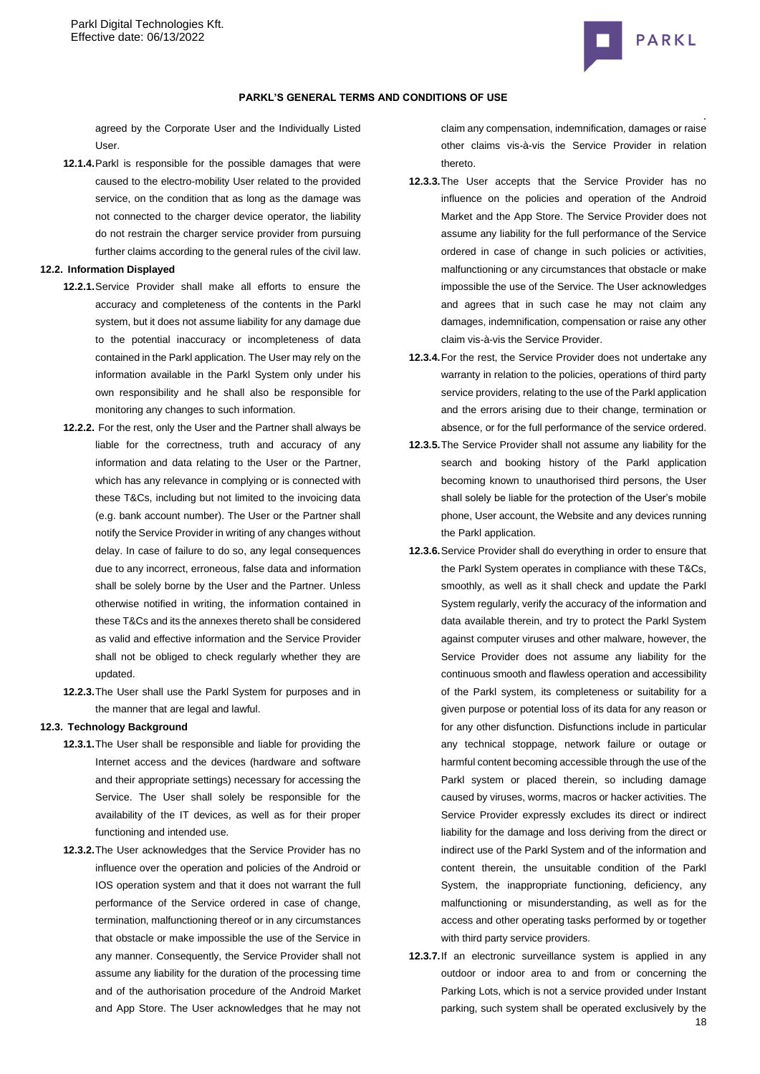

### **PARKL'S GENERAL TERMS AND CONDITIONS OF USE**

agreed by the Corporate User and the Individually Listed User.

**12.1.4.**Parkl is responsible for the possible damages that were caused to the electro-mobility User related to the provided service, on the condition that as long as the damage was not connected to the charger device operator, the liability do not restrain the charger service provider from pursuing further claims according to the general rules of the civil law.

#### **12.2. Information Displayed**

- **12.2.1.**Service Provider shall make all efforts to ensure the accuracy and completeness of the contents in the Parkl system, but it does not assume liability for any damage due to the potential inaccuracy or incompleteness of data contained in the Parkl application. The User may rely on the information available in the Parkl System only under his own responsibility and he shall also be responsible for monitoring any changes to such information.
- **12.2.2.** For the rest, only the User and the Partner shall always be liable for the correctness, truth and accuracy of any information and data relating to the User or the Partner, which has any relevance in complying or is connected with these T&Cs, including but not limited to the invoicing data (e.g. bank account number). The User or the Partner shall notify the Service Provider in writing of any changes without delay. In case of failure to do so, any legal consequences due to any incorrect, erroneous, false data and information shall be solely borne by the User and the Partner. Unless otherwise notified in writing, the information contained in these T&Cs and its the annexes thereto shall be considered as valid and effective information and the Service Provider shall not be obliged to check regularly whether they are updated.
- **12.2.3.**The User shall use the Parkl System for purposes and in the manner that are legal and lawful.

#### **12.3. Technology Background**

- **12.3.1.**The User shall be responsible and liable for providing the Internet access and the devices (hardware and software and their appropriate settings) necessary for accessing the Service. The User shall solely be responsible for the availability of the IT devices, as well as for their proper functioning and intended use.
- **12.3.2.**The User acknowledges that the Service Provider has no influence over the operation and policies of the Android or IOS operation system and that it does not warrant the full performance of the Service ordered in case of change, termination, malfunctioning thereof or in any circumstances that obstacle or make impossible the use of the Service in any manner. Consequently, the Service Provider shall not assume any liability for the duration of the processing time and of the authorisation procedure of the Android Market and App Store. The User acknowledges that he may not

claim any compensation, indemnification, damages or raise other claims vis-à-vis the Service Provider in relation thereto.

- **12.3.3.**The User accepts that the Service Provider has no influence on the policies and operation of the Android Market and the App Store. The Service Provider does not assume any liability for the full performance of the Service ordered in case of change in such policies or activities, malfunctioning or any circumstances that obstacle or make impossible the use of the Service. The User acknowledges and agrees that in such case he may not claim any damages, indemnification, compensation or raise any other claim vis-à-vis the Service Provider.
- **12.3.4.**For the rest, the Service Provider does not undertake any warranty in relation to the policies, operations of third party service providers, relating to the use of the Parkl application and the errors arising due to their change, termination or absence, or for the full performance of the service ordered.
- **12.3.5.**The Service Provider shall not assume any liability for the search and booking history of the Parkl application becoming known to unauthorised third persons, the User shall solely be liable for the protection of the User's mobile phone, User account, the Website and any devices running the Parkl application.
- **12.3.6.**Service Provider shall do everything in order to ensure that the Parkl System operates in compliance with these T&Cs, smoothly, as well as it shall check and update the Parkl System regularly, verify the accuracy of the information and data available therein, and try to protect the Parkl System against computer viruses and other malware, however, the Service Provider does not assume any liability for the continuous smooth and flawless operation and accessibility of the Parkl system, its completeness or suitability for a given purpose or potential loss of its data for any reason or for any other disfunction. Disfunctions include in particular any technical stoppage, network failure or outage or harmful content becoming accessible through the use of the Parkl system or placed therein, so including damage caused by viruses, worms, macros or hacker activities. The Service Provider expressly excludes its direct or indirect liability for the damage and loss deriving from the direct or indirect use of the Parkl System and of the information and content therein, the unsuitable condition of the Parkl System, the inappropriate functioning, deficiency, any malfunctioning or misunderstanding, as well as for the access and other operating tasks performed by or together with third party service providers.
- 18 **12.3.7.**If an electronic surveillance system is applied in any outdoor or indoor area to and from or concerning the Parking Lots, which is not a service provided under Instant parking, such system shall be operated exclusively by the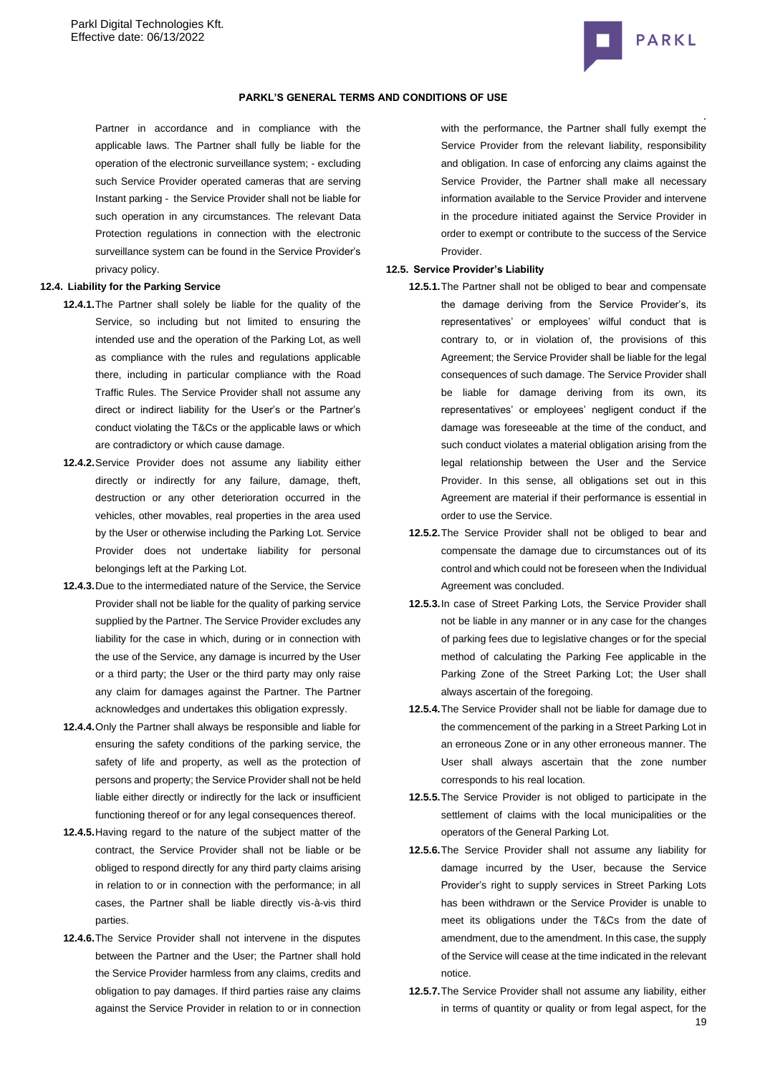

#### **PARKL'S GENERAL TERMS AND CONDITIONS OF USE**

Partner in accordance and in compliance with the applicable laws. The Partner shall fully be liable for the operation of the electronic surveillance system; - excluding such Service Provider operated cameras that are serving Instant parking - the Service Provider shall not be liable for such operation in any circumstances. The relevant Data Protection regulations in connection with the electronic surveillance system can be found in the Service Provider's privacy policy.

#### **12.4. Liability for the Parking Service**

- **12.4.1.**The Partner shall solely be liable for the quality of the Service, so including but not limited to ensuring the intended use and the operation of the Parking Lot, as well as compliance with the rules and regulations applicable there, including in particular compliance with the Road Traffic Rules. The Service Provider shall not assume any direct or indirect liability for the User's or the Partner's conduct violating the T&Cs or the applicable laws or which are contradictory or which cause damage.
- **12.4.2.**Service Provider does not assume any liability either directly or indirectly for any failure, damage, theft, destruction or any other deterioration occurred in the vehicles, other movables, real properties in the area used by the User or otherwise including the Parking Lot. Service Provider does not undertake liability for personal belongings left at the Parking Lot.
- **12.4.3.**Due to the intermediated nature of the Service, the Service Provider shall not be liable for the quality of parking service supplied by the Partner. The Service Provider excludes any liability for the case in which, during or in connection with the use of the Service, any damage is incurred by the User or a third party; the User or the third party may only raise any claim for damages against the Partner. The Partner acknowledges and undertakes this obligation expressly.
- **12.4.4.**Only the Partner shall always be responsible and liable for ensuring the safety conditions of the parking service, the safety of life and property, as well as the protection of persons and property; the Service Provider shall not be held liable either directly or indirectly for the lack or insufficient functioning thereof or for any legal consequences thereof.
- **12.4.5.**Having regard to the nature of the subject matter of the contract, the Service Provider shall not be liable or be obliged to respond directly for any third party claims arising in relation to or in connection with the performance; in all cases, the Partner shall be liable directly vis-à-vis third parties.
- **12.4.6.**The Service Provider shall not intervene in the disputes between the Partner and the User; the Partner shall hold the Service Provider harmless from any claims, credits and obligation to pay damages. If third parties raise any claims against the Service Provider in relation to or in connection

with the performance, the Partner shall fully exempt the Service Provider from the relevant liability, responsibility and obligation. In case of enforcing any claims against the Service Provider, the Partner shall make all necessary information available to the Service Provider and intervene in the procedure initiated against the Service Provider in order to exempt or contribute to the success of the Service Provider.

#### **12.5. Service Provider's Liability**

- **12.5.1.**The Partner shall not be obliged to bear and compensate the damage deriving from the Service Provider's, its representatives' or employees' wilful conduct that is contrary to, or in violation of, the provisions of this Agreement; the Service Provider shall be liable for the legal consequences of such damage. The Service Provider shall be liable for damage deriving from its own, its representatives' or employees' negligent conduct if the damage was foreseeable at the time of the conduct, and such conduct violates a material obligation arising from the legal relationship between the User and the Service Provider. In this sense, all obligations set out in this Agreement are material if their performance is essential in order to use the Service.
- **12.5.2.**The Service Provider shall not be obliged to bear and compensate the damage due to circumstances out of its control and which could not be foreseen when the Individual Agreement was concluded.
- **12.5.3.**In case of Street Parking Lots, the Service Provider shall not be liable in any manner or in any case for the changes of parking fees due to legislative changes or for the special method of calculating the Parking Fee applicable in the Parking Zone of the Street Parking Lot; the User shall always ascertain of the foregoing.
- **12.5.4.**The Service Provider shall not be liable for damage due to the commencement of the parking in a Street Parking Lot in an erroneous Zone or in any other erroneous manner. The User shall always ascertain that the zone number corresponds to his real location.
- **12.5.5.**The Service Provider is not obliged to participate in the settlement of claims with the local municipalities or the operators of the General Parking Lot.
- **12.5.6.**The Service Provider shall not assume any liability for damage incurred by the User, because the Service Provider's right to supply services in Street Parking Lots has been withdrawn or the Service Provider is unable to meet its obligations under the T&Cs from the date of amendment, due to the amendment. In this case, the supply of the Service will cease at the time indicated in the relevant notice.
- 19 **12.5.7.**The Service Provider shall not assume any liability, either in terms of quantity or quality or from legal aspect, for the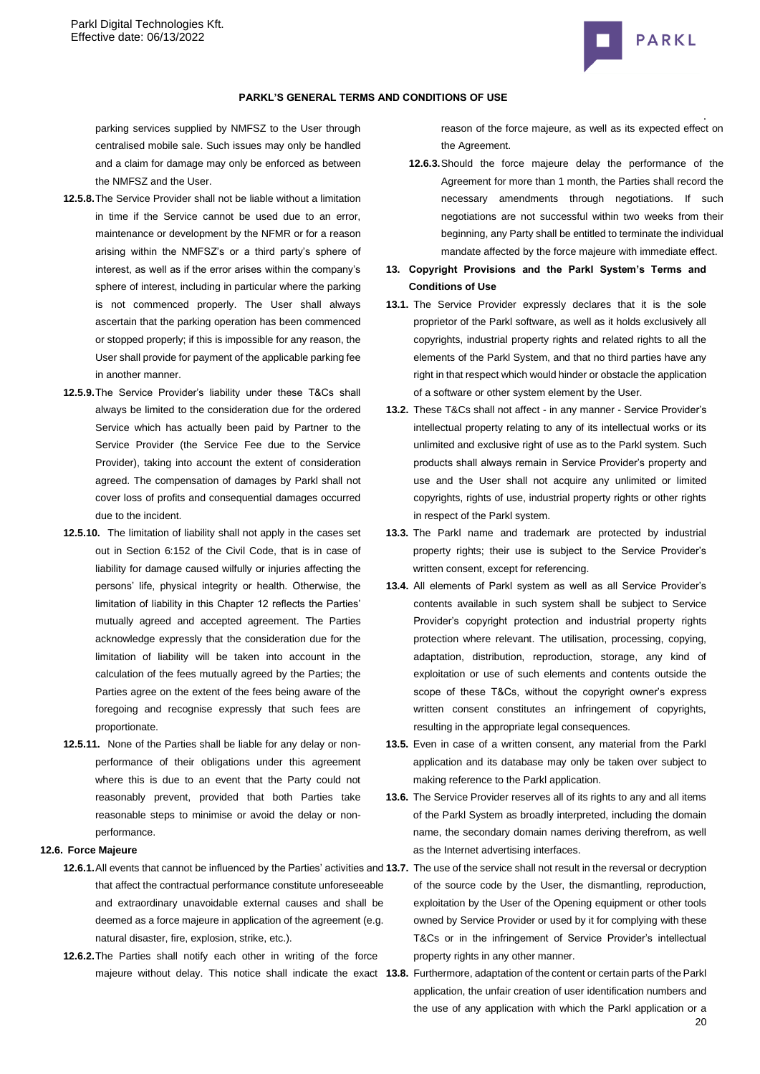

parking services supplied by NMFSZ to the User through centralised mobile sale. Such issues may only be handled and a claim for damage may only be enforced as between the NMFSZ and the User.

- **12.5.8.**The Service Provider shall not be liable without a limitation in time if the Service cannot be used due to an error, maintenance or development by the NFMR or for a reason arising within the NMFSZ's or a third party's sphere of interest, as well as if the error arises within the company's sphere of interest, including in particular where the parking is not commenced properly. The User shall always ascertain that the parking operation has been commenced or stopped properly; if this is impossible for any reason, the User shall provide for payment of the applicable parking fee in another manner.
- **12.5.9.**The Service Provider's liability under these T&Cs shall always be limited to the consideration due for the ordered Service which has actually been paid by Partner to the Service Provider (the Service Fee due to the Service Provider), taking into account the extent of consideration agreed. The compensation of damages by Parkl shall not cover loss of profits and consequential damages occurred due to the incident.
- **12.5.10.** The limitation of liability shall not apply in the cases set out in Section 6:152 of the Civil Code, that is in case of liability for damage caused wilfully or injuries affecting the persons' life, physical integrity or health. Otherwise, the limitation of liability in this Chapter 12 reflects the Parties' mutually agreed and accepted agreement. The Parties acknowledge expressly that the consideration due for the limitation of liability will be taken into account in the calculation of the fees mutually agreed by the Parties; the Parties agree on the extent of the fees being aware of the foregoing and recognise expressly that such fees are proportionate.
- **12.5.11.** None of the Parties shall be liable for any delay or nonperformance of their obligations under this agreement where this is due to an event that the Party could not reasonably prevent, provided that both Parties take reasonable steps to minimise or avoid the delay or nonperformance.

# **12.6. Force Majeure**

- **12.6.1.**All events that cannot be influenced by the Parties' activities and **13.7.** The use of the service shall not result in the reversal or decryption that affect the contractual performance constitute unforeseeable and extraordinary unavoidable external causes and shall be deemed as a force majeure in application of the agreement (e.g. natural disaster, fire, explosion, strike, etc.).
- **12.6.2.**The Parties shall notify each other in writing of the force

. reason of the force majeure, as well as its expected effect on the Agreement.

- **12.6.3.**Should the force majeure delay the performance of the Agreement for more than 1 month, the Parties shall record the necessary amendments through negotiations. If such negotiations are not successful within two weeks from their beginning, any Party shall be entitled to terminate the individual mandate affected by the force majeure with immediate effect.
- **13. Copyright Provisions and the Parkl System's Terms and Conditions of Use**
- **13.1.** The Service Provider expressly declares that it is the sole proprietor of the Parkl software, as well as it holds exclusively all copyrights, industrial property rights and related rights to all the elements of the Parkl System, and that no third parties have any right in that respect which would hinder or obstacle the application of a software or other system element by the User.
- **13.2.** These T&Cs shall not affect in any manner Service Provider's intellectual property relating to any of its intellectual works or its unlimited and exclusive right of use as to the Parkl system. Such products shall always remain in Service Provider's property and use and the User shall not acquire any unlimited or limited copyrights, rights of use, industrial property rights or other rights in respect of the Parkl system.
- **13.3.** The Parkl name and trademark are protected by industrial property rights; their use is subject to the Service Provider's written consent, except for referencing.
- **13.4.** All elements of Parkl system as well as all Service Provider's contents available in such system shall be subject to Service Provider's copyright protection and industrial property rights protection where relevant. The utilisation, processing, copying, adaptation, distribution, reproduction, storage, any kind of exploitation or use of such elements and contents outside the scope of these T&Cs, without the copyright owner's express written consent constitutes an infringement of copyrights, resulting in the appropriate legal consequences.
- **13.5.** Even in case of a written consent, any material from the Parkl application and its database may only be taken over subject to making reference to the Parkl application.
- **13.6.** The Service Provider reserves all of its rights to any and all items of the Parkl System as broadly interpreted, including the domain name, the secondary domain names deriving therefrom, as well as the Internet advertising interfaces.
	- of the source code by the User, the dismantling, reproduction, exploitation by the User of the Opening equipment or other tools owned by Service Provider or used by it for complying with these T&Cs or in the infringement of Service Provider's intellectual property rights in any other manner.
- $20$ majeure without delay. This notice shall indicate the exact 13.8. Furthermore, adaptation of the content or certain parts of the Parkl application, the unfair creation of user identification numbers and the use of any application with which the Parkl application or a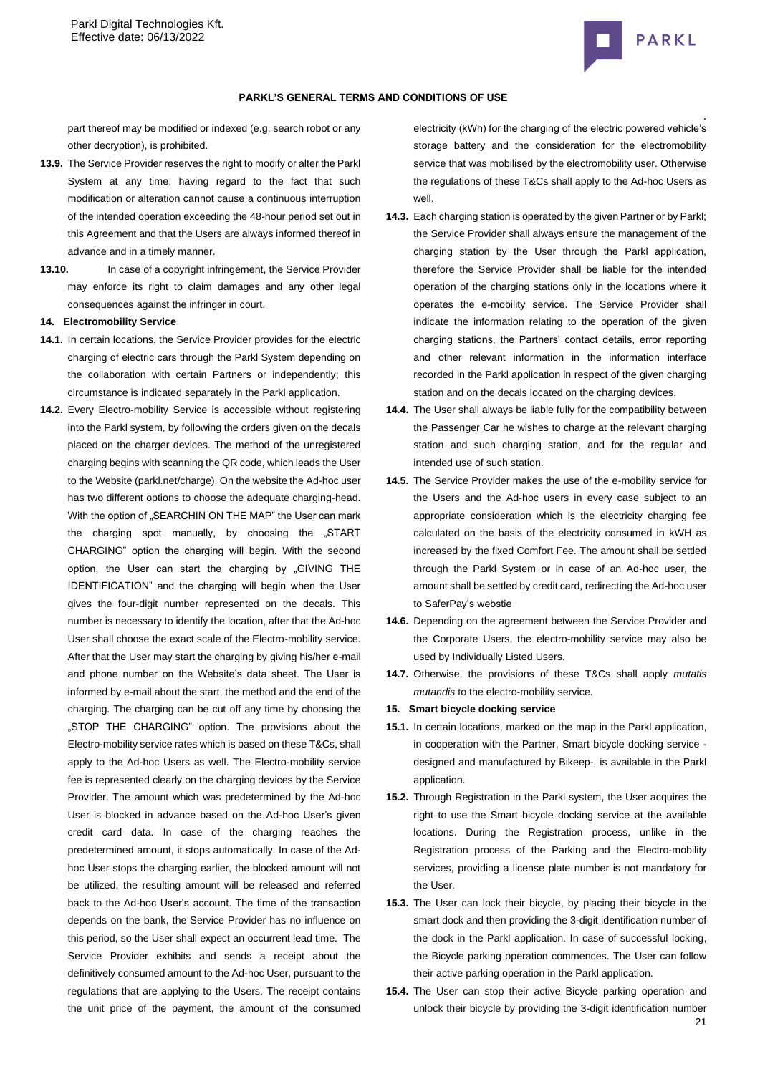

#### **PARKL'S GENERAL TERMS AND CONDITIONS OF USE**

part thereof may be modified or indexed (e.g. search robot or any other decryption), is prohibited.

- **13.9.** The Service Provider reserves the right to modify or alter the Parkl System at any time, having regard to the fact that such modification or alteration cannot cause a continuous interruption of the intended operation exceeding the 48-hour period set out in this Agreement and that the Users are always informed thereof in advance and in a timely manner.
- **13.10.** In case of a copyright infringement, the Service Provider may enforce its right to claim damages and any other legal consequences against the infringer in court.

**14. Electromobility Service**

- **14.1.** In certain locations, the Service Provider provides for the electric charging of electric cars through the Parkl System depending on the collaboration with certain Partners or independently; this circumstance is indicated separately in the Parkl application.
- **14.2.** Every Electro-mobility Service is accessible without registering into the Parkl system, by following the orders given on the decals placed on the charger devices. The method of the unregistered charging begins with scanning the QR code, which leads the User to the Website (parkl.net/charge). On the website the Ad-hoc user has two different options to choose the adequate charging-head. With the option of "SEARCHIN ON THE MAP" the User can mark the charging spot manually, by choosing the "START CHARGING" option the charging will begin. With the second option, the User can start the charging by "GIVING THE IDENTIFICATION" and the charging will begin when the User gives the four-digit number represented on the decals. This number is necessary to identify the location, after that the Ad-hoc User shall choose the exact scale of the Electro-mobility service. After that the User may start the charging by giving his/her e-mail and phone number on the Website's data sheet. The User is informed by e-mail about the start, the method and the end of the charging. The charging can be cut off any time by choosing the "STOP THE CHARGING" option. The provisions about the Electro-mobility service rates which is based on these T&Cs, shall apply to the Ad-hoc Users as well. The Electro-mobility service fee is represented clearly on the charging devices by the Service Provider. The amount which was predetermined by the Ad-hoc User is blocked in advance based on the Ad-hoc User's given credit card data. In case of the charging reaches the predetermined amount, it stops automatically. In case of the Adhoc User stops the charging earlier, the blocked amount will not be utilized, the resulting amount will be released and referred back to the Ad-hoc User's account. The time of the transaction depends on the bank, the Service Provider has no influence on this period, so the User shall expect an occurrent lead time. The Service Provider exhibits and sends a receipt about the definitively consumed amount to the Ad-hoc User, pursuant to the regulations that are applying to the Users. The receipt contains the unit price of the payment, the amount of the consumed

electricity (kWh) for the charging of the electric powered vehicle's storage battery and the consideration for the electromobility service that was mobilised by the electromobility user. Otherwise the regulations of these T&Cs shall apply to the Ad-hoc Users as well.

- **14.3.** Each charging station is operated by the given Partner or by Parkl; the Service Provider shall always ensure the management of the charging station by the User through the Parkl application, therefore the Service Provider shall be liable for the intended operation of the charging stations only in the locations where it operates the e-mobility service. The Service Provider shall indicate the information relating to the operation of the given charging stations, the Partners' contact details, error reporting and other relevant information in the information interface recorded in the Parkl application in respect of the given charging station and on the decals located on the charging devices.
- **14.4.** The User shall always be liable fully for the compatibility between the Passenger Car he wishes to charge at the relevant charging station and such charging station, and for the regular and intended use of such station.
- **14.5.** The Service Provider makes the use of the e-mobility service for the Users and the Ad-hoc users in every case subject to an appropriate consideration which is the electricity charging fee calculated on the basis of the electricity consumed in kWH as increased by the fixed Comfort Fee. The amount shall be settled through the Parkl System or in case of an Ad-hoc user, the amount shall be settled by credit card, redirecting the Ad-hoc user to SaferPay's webstie
- **14.6.** Depending on the agreement between the Service Provider and the Corporate Users, the electro-mobility service may also be used by Individually Listed Users.
- **14.7.** Otherwise, the provisions of these T&Cs shall apply *mutatis mutandis* to the electro-mobility service.
- **15. Smart bicycle docking service**
- **15.1.** In certain locations, marked on the map in the Parkl application, in cooperation with the Partner, Smart bicycle docking service designed and manufactured by Bikeep-, is available in the Parkl application.
- **15.2.** Through Registration in the Parkl system, the User acquires the right to use the Smart bicycle docking service at the available locations. During the Registration process, unlike in the Registration process of the Parking and the Electro-mobility services, providing a license plate number is not mandatory for the User.
- **15.3.** The User can lock their bicycle, by placing their bicycle in the smart dock and then providing the 3-digit identification number of the dock in the Parkl application. In case of successful locking, the Bicycle parking operation commences. The User can follow their active parking operation in the Parkl application.
- 21 **15.4.** The User can stop their active Bicycle parking operation and unlock their bicycle by providing the 3-digit identification number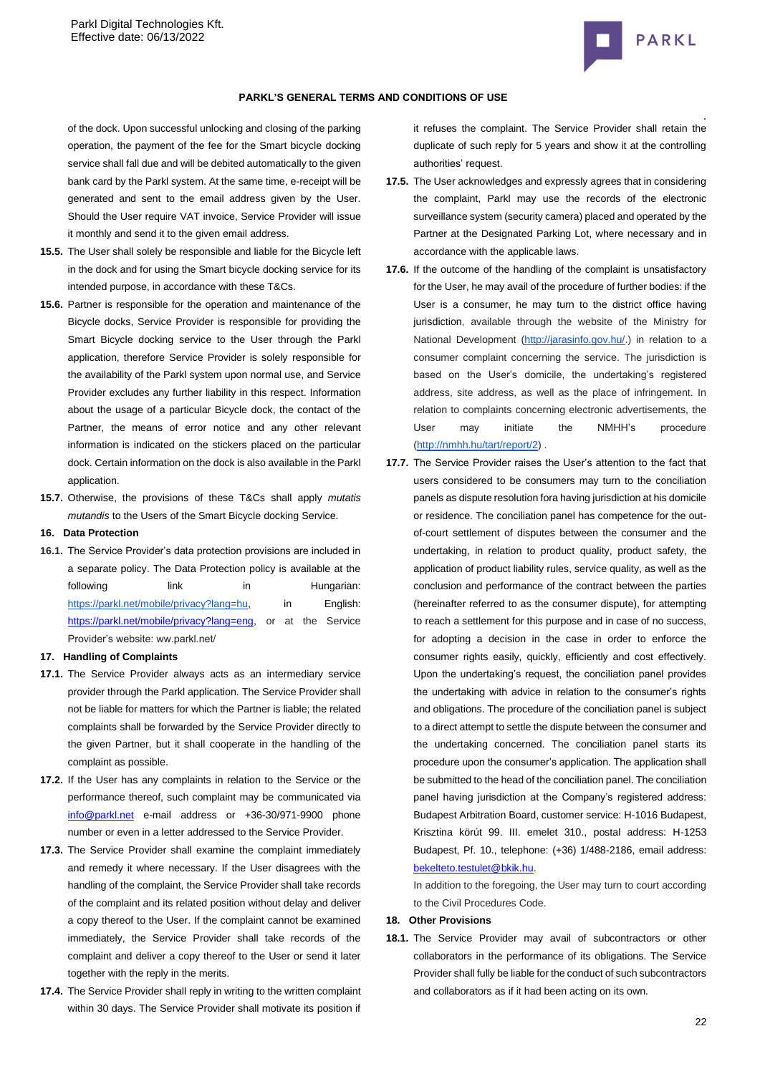

### **PARKL'S GENERAL TERMS AND CONDITIONS OF USE**

of the dock. Upon successful unlocking and closing of the parking operation, the payment of the fee for the Smart bicycle docking service shall fall due and will be debited automatically to the given bank card by the Parkl system. At the same time, e-receipt will be generated and sent to the email address given by the User. Should the User require VAT invoice, Service Provider will issue it monthly and send it to the given email address.

- **15.5.** The User shall solely be responsible and liable for the Bicycle left in the dock and for using the Smart bicycle docking service for its intended purpose, in accordance with these T&Cs.
- **15.6.** Partner is responsible for the operation and maintenance of the Bicycle docks, Service Provider is responsible for providing the Smart Bicycle docking service to the User through the Parkl application, therefore Service Provider is solely responsible for the availability of the Parkl system upon normal use, and Service Provider excludes any further liability in this respect. Information about the usage of a particular Bicycle dock, the contact of the Partner, the means of error notice and any other relevant information is indicated on the stickers placed on the particular dock. Certain information on the dock is also available in the Parkl application.
- **15.7.** Otherwise, the provisions of these T&Cs shall apply *mutatis mutandis* to the Users of the Smart Bicycle docking Service.

#### **16. Data Protection**

**16.1.** The Service Provider's data protection provisions are included in a separate policy. The Data Protection policy is available at the following link in Hungarian: [https://parkl.net/mobile/privacy?lang=hu,](https://test.parkl.net/mobile/privacy?lang=eng) in English: [https://parkl.net/mobile/privacy?lang=eng,](https://parkl.net/mobile/privacy?lang=eng) or at the Service Provider's website: ww.parkl.net/

### **17. Handling of Complaints**

- **17.1.** The Service Provider always acts as an intermediary service provider through the Parkl application. The Service Provider shall not be liable for matters for which the Partner is liable; the related complaints shall be forwarded by the Service Provider directly to the given Partner, but it shall cooperate in the handling of the complaint as possible.
- **17.2.** If the User has any complaints in relation to the Service or the performance thereof, such complaint may be communicated via [info@parkl.net](mailto:info@parkl.net) e-mail address or +36-30/971-9900 phone number or even in a letter addressed to the Service Provider.
- **17.3.** The Service Provider shall examine the complaint immediately and remedy it where necessary. If the User disagrees with the handling of the complaint, the Service Provider shall take records of the complaint and its related position without delay and deliver a copy thereof to the User. If the complaint cannot be examined immediately, the Service Provider shall take records of the complaint and deliver a copy thereof to the User or send it later together with the reply in the merits.
- **17.4.** The Service Provider shall reply in writing to the written complaint within 30 days. The Service Provider shall motivate its position if

it refuses the complaint. The Service Provider shall retain the duplicate of such reply for 5 years and show it at the controlling authorities' request.

- **17.5.** The User acknowledges and expressly agrees that in considering the complaint, Parkl may use the records of the electronic surveillance system (security camera) placed and operated by the Partner at the Designated Parking Lot, where necessary and in accordance with the applicable laws.
- **17.6.** If the outcome of the handling of the complaint is unsatisfactory for the User, he may avail of the procedure of further bodies: if the User is a consumer, he may turn to the district office having jurisdiction, available through the website of the Ministry for National Development [\(http://jarasinfo.gov.hu/.](http://jarasinfo.gov.hu/)) in relation to a consumer complaint concerning the service. The jurisdiction is based on the User's domicile, the undertaking's registered address, site address, as well as the place of infringement. In relation to complaints concerning electronic advertisements, the User may initiate the NMHH's procedure [\(http://nmhh.hu/tart/report/2\)](http://nmhh.hu/tart/report/2) .
- **17.7.** The Service Provider raises the User's attention to the fact that users considered to be consumers may turn to the conciliation panels as dispute resolution fora having jurisdiction at his domicile or residence. The conciliation panel has competence for the outof-court settlement of disputes between the consumer and the undertaking, in relation to product quality, product safety, the application of product liability rules, service quality, as well as the conclusion and performance of the contract between the parties (hereinafter referred to as the consumer dispute), for attempting to reach a settlement for this purpose and in case of no success, for adopting a decision in the case in order to enforce the consumer rights easily, quickly, efficiently and cost effectively. Upon the undertaking's request, the conciliation panel provides the undertaking with advice in relation to the consumer's rights and obligations. The procedure of the conciliation panel is subject to a direct attempt to settle the dispute between the consumer and the undertaking concerned. The conciliation panel starts its procedure upon the consumer's application. The application shall be submitted to the head of the conciliation panel. The conciliation panel having jurisdiction at the Company's registered address: Budapest Arbitration Board, customer service: H-1016 Budapest, Krisztina körút 99. III. emelet 310., postal address: H-1253 Budapest, Pf. 10., telephone: (+36) 1/488-2186, email address: [bekelteto.testulet@bkik.hu.](mailto:bekelteto.testulet@bkik.hu)

In addition to the foregoing, the User may turn to court according to the Civil Procedures Code.

### **18. Other Provisions**

**18.1.** The Service Provider may avail of subcontractors or other collaborators in the performance of its obligations. The Service Provider shall fully be liable for the conduct of such subcontractors and collaborators as if it had been acting on its own.